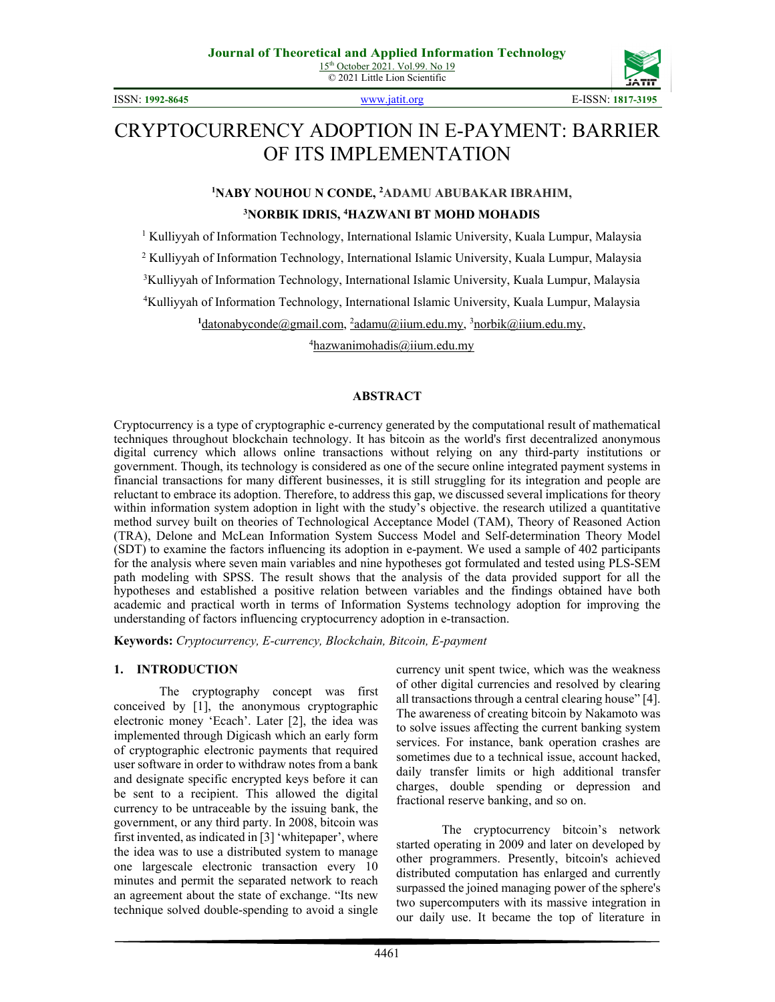

ISSN: **1992-8645** [www.jatit.org](http://www.jatit.org/) E-ISSN: **1817-3195**

# CRYPTOCURRENCY ADOPTION IN E-PAYMENT: BARRIER OF ITS IMPLEMENTATION

**1 NABY NOUHOU N CONDE, 2 ADAMU ABUBAKAR IBRAHIM,**

#### **3 NORBIK IDRIS, 4 HAZWANI BT MOHD MOHADIS**

<sup>1</sup> Kulliyyah of Information Technology, International Islamic University, Kuala Lumpur, Malaysia

<sup>2</sup> Kulliyyah of Information Technology, International Islamic University, Kuala Lumpur, Malaysia

3 Kulliyyah of Information Technology, International Islamic University, Kuala Lumpur, Malaysia

4 Kulliyyah of Information Technology, International Islamic University, Kuala Lumpur, Malaysia

<sup>1</sup>datonabyconde@gmail.com, <sup>2</sup>adamu@iium.edu.my, <sup>3</sup>norbik@iium.edu.my,

4 hazwanimohadis@iium.edu.my

#### **ABSTRACT**

Cryptocurrency is a type of cryptographic e-currency generated by the computational result of mathematical techniques throughout blockchain technology. It has bitcoin as the world's first decentralized anonymous digital currency which allows online transactions without relying on any third-party institutions or government. Though, its technology is considered as one of the secure online integrated payment systems in financial transactions for many different businesses, it is still struggling for its integration and people are reluctant to embrace its adoption. Therefore, to address this gap, we discussed several implications for theory within information system adoption in light with the study's objective. the research utilized a quantitative method survey built on theories of Technological Acceptance Model (TAM), Theory of Reasoned Action (TRA), Delone and McLean Information System Success Model and Self-determination Theory Model (SDT) to examine the factors influencing its adoption in e-payment. We used a sample of 402 participants for the analysis where seven main variables and nine hypotheses got formulated and tested using PLS-SEM path modeling with SPSS. The result shows that the analysis of the data provided support for all the hypotheses and established a positive relation between variables and the findings obtained have both academic and practical worth in terms of Information Systems technology adoption for improving the understanding of factors influencing cryptocurrency adoption in e-transaction.

**Keywords:** *Cryptocurrency, E-currency, Blockchain, Bitcoin, E-payment*

#### **1. INTRODUCTION**

The cryptography concept was first conceived by [1], the anonymous cryptographic electronic money 'Ecach'. Later [2], the idea was implemented through Digicash which an early form of cryptographic electronic payments that required user software in order to withdraw notes from a bank and designate specific encrypted keys before it can be sent to a recipient. This allowed the digital currency to be untraceable by the issuing bank, the government, or any third party. In 2008, bitcoin was first invented, as indicated in [3] 'whitepaper', where the idea was to use a distributed system to manage one largescale electronic transaction every 10 minutes and permit the separated network to reach an agreement about the state of exchange. "Its new technique solved double-spending to avoid a single

currency unit spent twice, which was the weakness of other digital currencies and resolved by clearing all transactions through a central clearing house" [4]. The awareness of creating bitcoin by Nakamoto was to solve issues affecting the current banking system services. For instance, bank operation crashes are sometimes due to a technical issue, account hacked, daily transfer limits or high additional transfer charges, double spending or depression and fractional reserve banking, and so on.

The cryptocurrency bitcoin's network started operating in 2009 and later on developed by other programmers. Presently, bitcoin's achieved distributed computation has enlarged and currently surpassed the joined managing power of the sphere's two supercomputers with its massive integration in our daily use. It became the top of literature in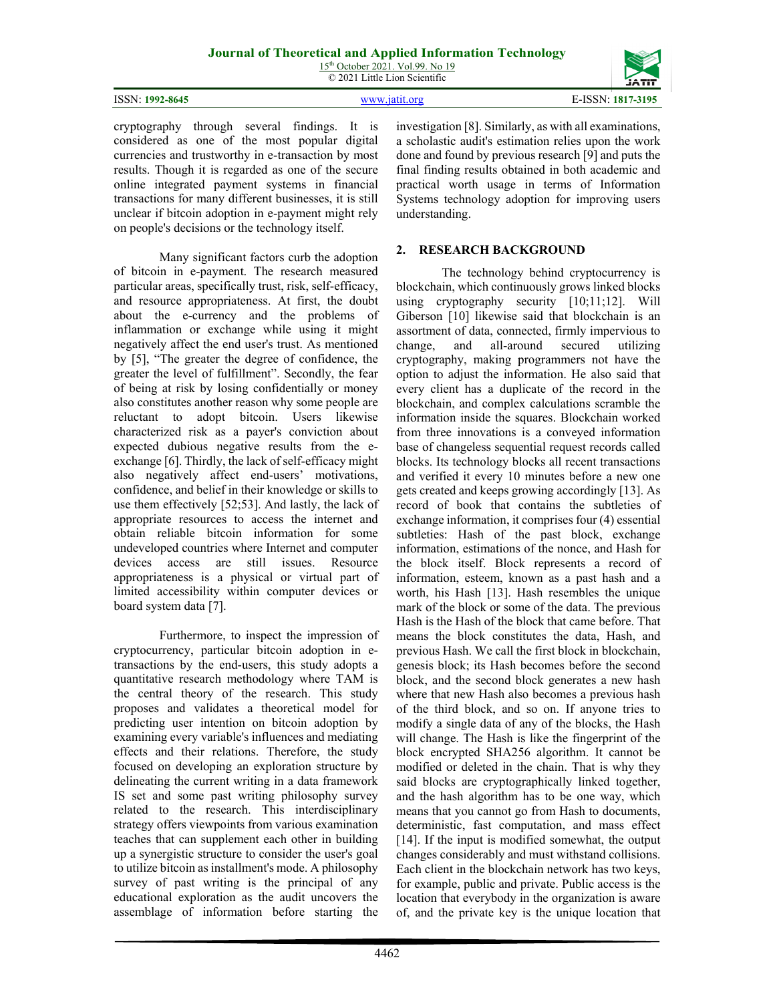15<sup>th</sup> October 2021. Vol.99. No 19 © 2021 Little Lion Scientific

|                 | <b>JAIII</b>        |
|-----------------|---------------------|
| ISSN: 1992-8645 | ICCNI.<br>1817-3195 |
|                 |                     |

cryptography through several findings. It is considered as one of the most popular digital currencies and trustworthy in e-transaction by most results. Though it is regarded as one of the secure online integrated payment systems in financial transactions for many different businesses, it is still unclear if bitcoin adoption in e-payment might rely on people's decisions or the technology itself.

Many significant factors curb the adoption of bitcoin in e-payment. The research measured particular areas, specifically trust, risk, self-efficacy, and resource appropriateness. At first, the doubt about the e-currency and the problems of inflammation or exchange while using it might negatively affect the end user's trust. As mentioned by [5], "The greater the degree of confidence, the greater the level of fulfillment". Secondly, the fear of being at risk by losing confidentially or money also constitutes another reason why some people are reluctant to adopt bitcoin. Users likewise characterized risk as a payer's conviction about expected dubious negative results from the eexchange [6]. Thirdly, the lack of self-efficacy might also negatively affect end-users' motivations, confidence, and belief in their knowledge or skills to use them effectively [52;53]. And lastly, the lack of appropriate resources to access the internet and obtain reliable bitcoin information for some undeveloped countries where Internet and computer devices access are still issues. Resource appropriateness is a physical or virtual part of limited accessibility within computer devices or board system data [7].

Furthermore, to inspect the impression of cryptocurrency, particular bitcoin adoption in etransactions by the end-users, this study adopts a quantitative research methodology where TAM is the central theory of the research. This study proposes and validates a theoretical model for predicting user intention on bitcoin adoption by examining every variable's influences and mediating effects and their relations. Therefore, the study focused on developing an exploration structure by delineating the current writing in a data framework IS set and some past writing philosophy survey related to the research. This interdisciplinary strategy offers viewpoints from various examination teaches that can supplement each other in building up a synergistic structure to consider the user's goal to utilize bitcoin as installment's mode. A philosophy survey of past writing is the principal of any educational exploration as the audit uncovers the assemblage of information before starting the

investigation [8]. Similarly, as with all examinations, a scholastic audit's estimation relies upon the work done and found by previous research [9] and puts the final finding results obtained in both academic and practical worth usage in terms of Information Systems technology adoption for improving users understanding.

#### **2. RESEARCH BACKGROUND**

The technology behind cryptocurrency is blockchain, which continuously grows linked blocks using cryptography security [10;11;12]. Will Giberson [10] likewise said that blockchain is an assortment of data, connected, firmly impervious to change, and all-around secured utilizing cryptography, making programmers not have the option to adjust the information. He also said that every client has a duplicate of the record in the blockchain, and complex calculations scramble the information inside the squares. Blockchain worked from three innovations is a conveyed information base of changeless sequential request records called blocks. Its technology blocks all recent transactions and verified it every 10 minutes before a new one gets created and keeps growing accordingly [13]. As record of book that contains the subtleties of exchange information, it comprises four (4) essential subtleties: Hash of the past block, exchange information, estimations of the nonce, and Hash for the block itself. Block represents a record of information, esteem, known as a past hash and a worth, his Hash [13]. Hash resembles the unique mark of the block or some of the data. The previous Hash is the Hash of the block that came before. That means the block constitutes the data, Hash, and previous Hash. We call the first block in blockchain, genesis block; its Hash becomes before the second block, and the second block generates a new hash where that new Hash also becomes a previous hash of the third block, and so on. If anyone tries to modify a single data of any of the blocks, the Hash will change. The Hash is like the fingerprint of the block encrypted SHA256 algorithm. It cannot be modified or deleted in the chain. That is why they said blocks are cryptographically linked together, and the hash algorithm has to be one way, which means that you cannot go from Hash to documents, deterministic, fast computation, and mass effect [14]. If the input is modified somewhat, the output changes considerably and must withstand collisions. Each client in the blockchain network has two keys, for example, public and private. Public access is the location that everybody in the organization is aware of, and the private key is the unique location that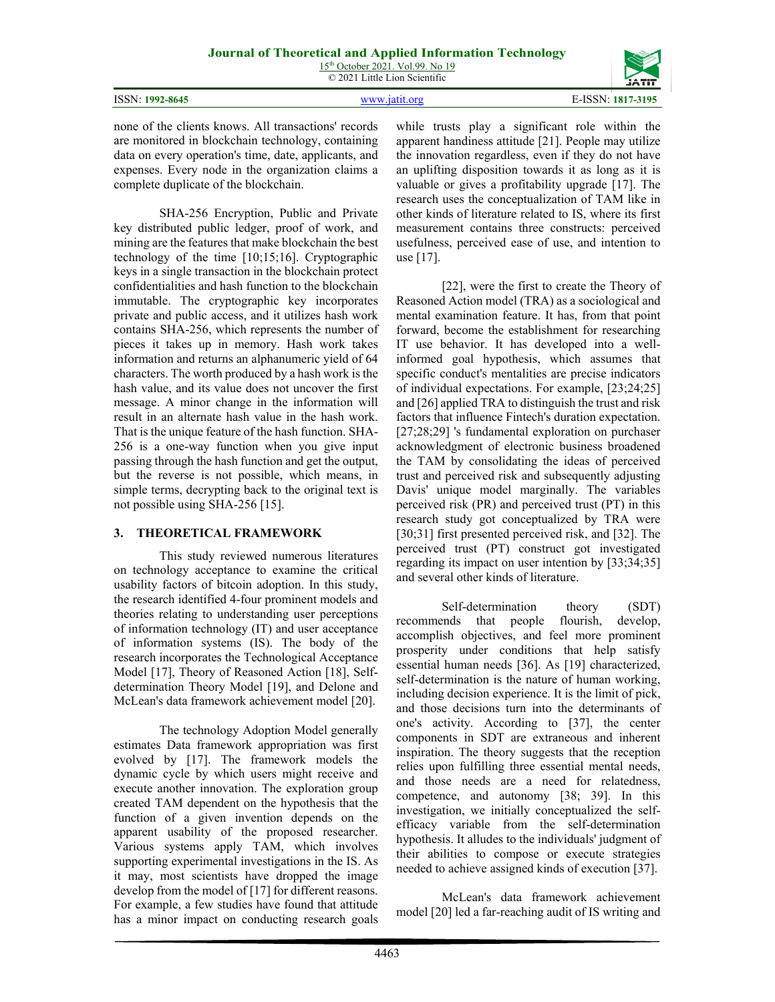| ISSN: 1992-8645 | www.jatit.org | E-ISSN: 1817-3195 |
|-----------------|---------------|-------------------|

none of the clients knows. All transactions' records are monitored in blockchain technology, containing data on every operation's time, date, applicants, and expenses. Every node in the organization claims a complete duplicate of the blockchain.

SHA-256 Encryption, Public and Private key distributed public ledger, proof of work, and mining are the features that make blockchain the best technology of the time [10;15;16]. Cryptographic keys in a single transaction in the blockchain protect confidentialities and hash function to the blockchain immutable. The cryptographic key incorporates private and public access, and it utilizes hash work contains SHA-256, which represents the number of pieces it takes up in memory. Hash work takes information and returns an alphanumeric yield of 64 characters. The worth produced by a hash work is the hash value, and its value does not uncover the first message. A minor change in the information will result in an alternate hash value in the hash work. That is the unique feature of the hash function. SHA-256 is a one-way function when you give input passing through the hash function and get the output, but the reverse is not possible, which means, in simple terms, decrypting back to the original text is not possible using SHA-256 [15].

#### **3. THEORETICAL FRAMEWORK**

This study reviewed numerous literatures on technology acceptance to examine the critical usability factors of bitcoin adoption. In this study, the research identified 4-four prominent models and theories relating to understanding user perceptions of information technology (IT) and user acceptance of information systems (IS). The body of the research incorporates the Technological Acceptance Model [17], Theory of Reasoned Action [18], Selfdetermination Theory Model [19], and Delone and McLean's data framework achievement model [20].

The technology Adoption Model generally estimates Data framework appropriation was first evolved by [17]. The framework models the dynamic cycle by which users might receive and execute another innovation. The exploration group created TAM dependent on the hypothesis that the function of a given invention depends on the apparent usability of the proposed researcher. Various systems apply TAM, which involves supporting experimental investigations in the IS. As it may, most scientists have dropped the image develop from the model of [17] for different reasons. For example, a few studies have found that attitude has a minor impact on conducting research goals while trusts play a significant role within the apparent handiness attitude [21]. People may utilize the innovation regardless, even if they do not have an uplifting disposition towards it as long as it is valuable or gives a profitability upgrade [17]. The research uses the conceptualization of TAM like in other kinds of literature related to IS, where its first measurement contains three constructs: perceived usefulness, perceived ease of use, and intention to use [17].

[22], were the first to create the Theory of Reasoned Action model (TRA) as a sociological and mental examination feature. It has, from that point forward, become the establishment for researching IT use behavior. It has developed into a wellinformed goal hypothesis, which assumes that specific conduct's mentalities are precise indicators of individual expectations. For example, [23;24;25] and [26] applied TRA to distinguish the trust and risk factors that influence Fintech's duration expectation. [27;28;29] 's fundamental exploration on purchaser acknowledgment of electronic business broadened the TAM by consolidating the ideas of perceived trust and perceived risk and subsequently adjusting Davis' unique model marginally. The variables perceived risk (PR) and perceived trust (PT) in this research study got conceptualized by TRA were [30;31] first presented perceived risk, and [32]. The perceived trust (PT) construct got investigated regarding its impact on user intention by [33;34;35] and several other kinds of literature.

Self-determination theory (SDT) recommends that people flourish, develop, accomplish objectives, and feel more prominent prosperity under conditions that help satisfy essential human needs [36]. As [19] characterized, self-determination is the nature of human working, including decision experience. It is the limit of pick, and those decisions turn into the determinants of one's activity. According to [37], the center components in SDT are extraneous and inherent inspiration. The theory suggests that the reception relies upon fulfilling three essential mental needs, and those needs are a need for relatedness, competence, and autonomy [38; 39]. In this investigation, we initially conceptualized the selfefficacy variable from the self-determination hypothesis. It alludes to the individuals' judgment of their abilities to compose or execute strategies needed to achieve assigned kinds of execution [37].

McLean's data framework achievement model [20] led a far-reaching audit of IS writing and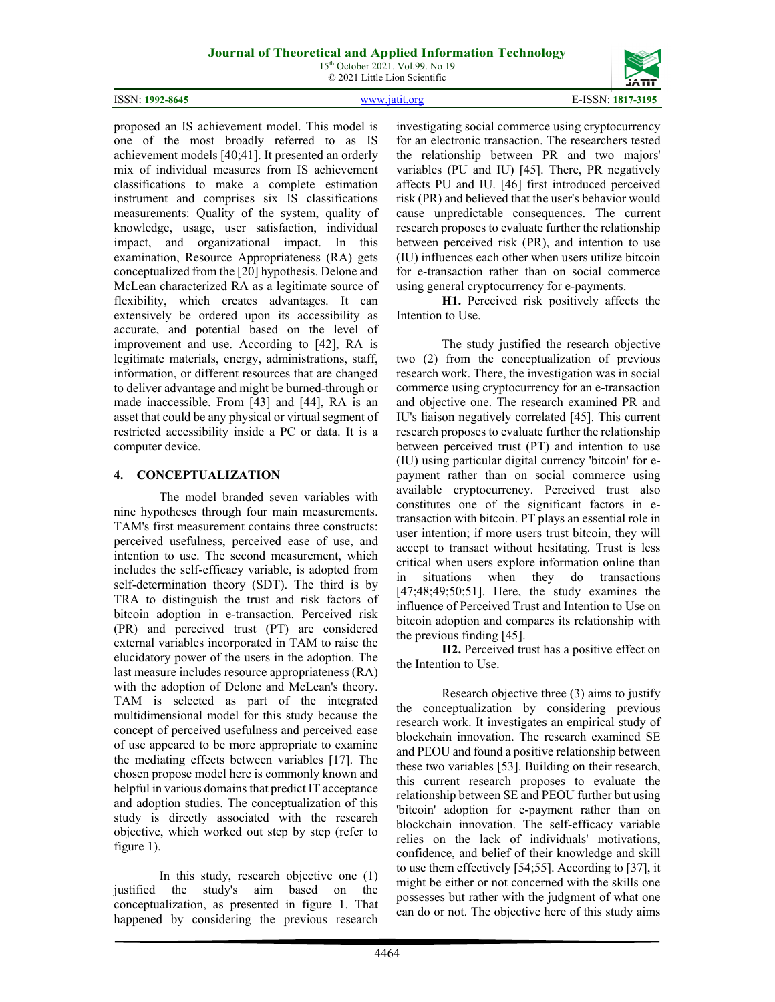15<sup>th</sup> October 2021. Vol.99. No 19 © 2021 Little Lion Scientific



proposed an IS achievement model. This model is one of the most broadly referred to as IS achievement models [40;41]. It presented an orderly mix of individual measures from IS achievement classifications to make a complete estimation instrument and comprises six IS classifications measurements: Quality of the system, quality of knowledge, usage, user satisfaction, individual impact, and organizational impact. In this examination, Resource Appropriateness (RA) gets conceptualized from the [20] hypothesis. Delone and McLean characterized RA as a legitimate source of flexibility, which creates advantages. It can extensively be ordered upon its accessibility as accurate, and potential based on the level of improvement and use. According to [42], RA is legitimate materials, energy, administrations, staff, information, or different resources that are changed to deliver advantage and might be burned-through or made inaccessible. From [43] and [44], RA is an asset that could be any physical or virtual segment of restricted accessibility inside a PC or data. It is a computer device.

#### **4. CONCEPTUALIZATION**

The model branded seven variables with nine hypotheses through four main measurements. TAM's first measurement contains three constructs: perceived usefulness, perceived ease of use, and intention to use. The second measurement, which includes the self-efficacy variable, is adopted from self-determination theory (SDT). The third is by TRA to distinguish the trust and risk factors of bitcoin adoption in e-transaction. Perceived risk (PR) and perceived trust (PT) are considered external variables incorporated in TAM to raise the elucidatory power of the users in the adoption. The last measure includes resource appropriateness (RA) with the adoption of Delone and McLean's theory. TAM is selected as part of the integrated multidimensional model for this study because the concept of perceived usefulness and perceived ease of use appeared to be more appropriate to examine the mediating effects between variables [17]. The chosen propose model here is commonly known and helpful in various domains that predict IT acceptance and adoption studies. The conceptualization of this study is directly associated with the research objective, which worked out step by step (refer to figure 1).

In this study, research objective one (1) justified the study's aim based on the conceptualization, as presented in figure 1. That happened by considering the previous research investigating social commerce using cryptocurrency for an electronic transaction. The researchers tested the relationship between PR and two majors' variables (PU and IU) [45]. There, PR negatively affects PU and IU. [46] first introduced perceived risk (PR) and believed that the user's behavior would cause unpredictable consequences. The current research proposes to evaluate further the relationship between perceived risk (PR), and intention to use (IU) influences each other when users utilize bitcoin for e-transaction rather than on social commerce using general cryptocurrency for e-payments.

**H1.** Perceived risk positively affects the Intention to Use.

The study justified the research objective two (2) from the conceptualization of previous research work. There, the investigation was in social commerce using cryptocurrency for an e-transaction and objective one. The research examined PR and IU's liaison negatively correlated [45]. This current research proposes to evaluate further the relationship between perceived trust (PT) and intention to use (IU) using particular digital currency 'bitcoin' for epayment rather than on social commerce using available cryptocurrency. Perceived trust also constitutes one of the significant factors in etransaction with bitcoin. PT plays an essential role in user intention; if more users trust bitcoin, they will accept to transact without hesitating. Trust is less critical when users explore information online than in situations when they do transactions [47;48;49;50;51]. Here, the study examines the influence of Perceived Trust and Intention to Use on bitcoin adoption and compares its relationship with the previous finding [45].

**H2.** Perceived trust has a positive effect on the Intention to Use.

Research objective three (3) aims to justify the conceptualization by considering previous research work. It investigates an empirical study of blockchain innovation. The research examined SE and PEOU and found a positive relationship between these two variables [53]. Building on their research, this current research proposes to evaluate the relationship between SE and PEOU further but using 'bitcoin' adoption for e-payment rather than on blockchain innovation. The self-efficacy variable relies on the lack of individuals' motivations, confidence, and belief of their knowledge and skill to use them effectively [54;55]. According to [37], it might be either or not concerned with the skills one possesses but rather with the judgment of what one can do or not. The objective here of this study aims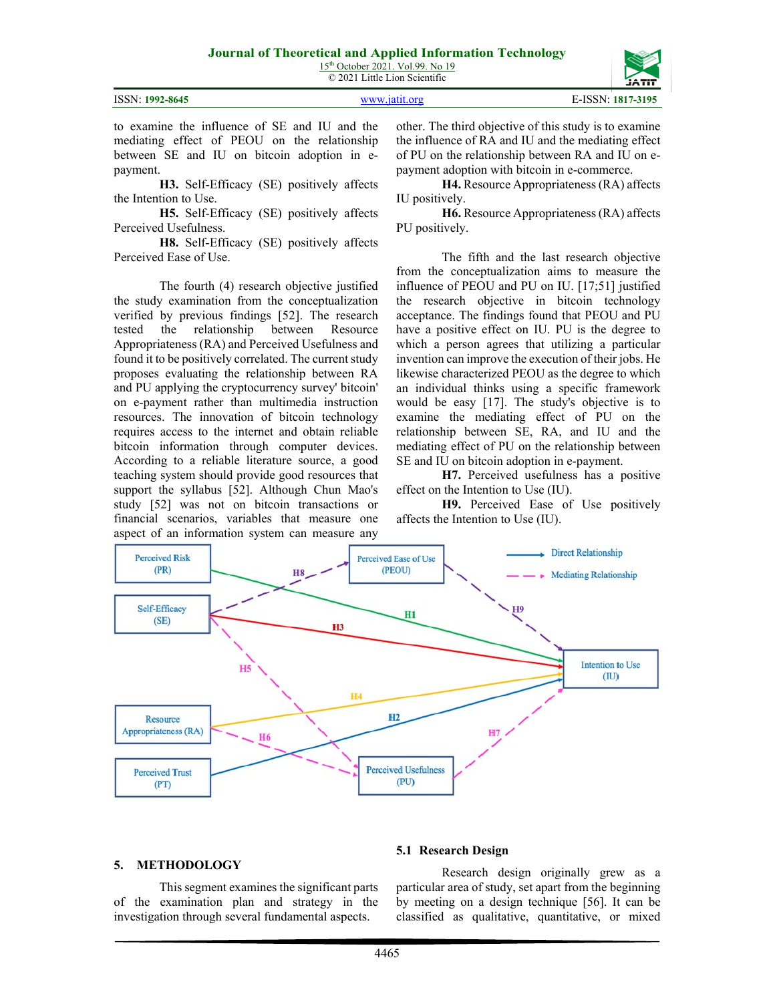|                 |               | JAIII             |
|-----------------|---------------|-------------------|
| ISSN: 1992-8645 | www.jatit.org | E-ISSN: 1817-3195 |
|                 |               |                   |

to examine the influence of SE and IU and the mediating effect of PEOU on the relationship between SE and IU on bitcoin adoption in epayment.

**H3.** Self-Efficacy (SE) positively affects the Intention to Use.

**H5.** Self-Efficacy (SE) positively affects Perceived Usefulness.

**H8.** Self-Efficacy (SE) positively affects Perceived Ease of Use.

The fourth (4) research objective justified the study examination from the conceptualization verified by previous findings [52]. The research tested the relationship between Resource Appropriateness (RA) and Perceived Usefulness and found it to be positively correlated. The current study proposes evaluating the relationship between RA and PU applying the cryptocurrency survey' bitcoin' on e-payment rather than multimedia instruction resources. The innovation of bitcoin technology requires access to the internet and obtain reliable bitcoin information through computer devices. According to a reliable literature source, a good teaching system should provide good resources that support the syllabus [52]. Although Chun Mao's study [52] was not on bitcoin transactions or financial scenarios, variables that measure one aspect of an information system can measure any

other. The third objective of this study is to examine the influence of RA and IU and the mediating effect of PU on the relationship between RA and IU on epayment adoption with bitcoin in e-commerce.

**H4.** Resource Appropriateness (RA) affects IU positively.

**H6.** Resource Appropriateness (RA) affects PU positively.

The fifth and the last research objective from the conceptualization aims to measure the influence of PEOU and PU on IU. [17;51] justified the research objective in bitcoin technology acceptance. The findings found that PEOU and PU have a positive effect on IU. PU is the degree to which a person agrees that utilizing a particular invention can improve the execution of their jobs. He likewise characterized PEOU as the degree to which an individual thinks using a specific framework would be easy [17]. The study's objective is to examine the mediating effect of PU on the relationship between SE, RA, and IU and the mediating effect of PU on the relationship between SE and IU on bitcoin adoption in e-payment.

**H7.** Perceived usefulness has a positive effect on the Intention to Use (IU).

**H9.** Perceived Ease of Use positively affects the Intention to Use (IU).



#### **5. METHODOLOGY**

This segment examines the significant parts of the examination plan and strategy in the investigation through several fundamental aspects.

#### **5.1 Research Design**

Research design originally grew as a particular area of study, set apart from the beginning by meeting on a design technique [56]. It can be classified as qualitative, quantitative, or mixed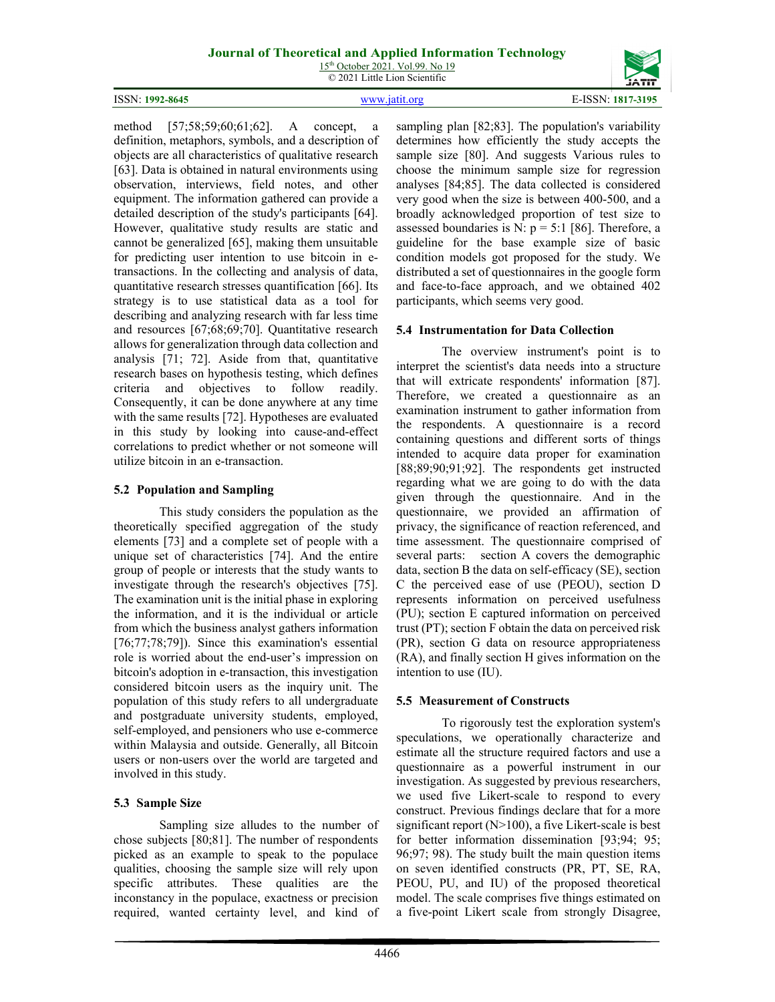15<sup>th</sup> October 2021. Vol.99. No 19 © 2021 Little Lion Scientific



method [57;58;59;60;61;62]. A concept, a definition, metaphors, symbols, and a description of objects are all characteristics of qualitative research [63]. Data is obtained in natural environments using observation, interviews, field notes, and other equipment. The information gathered can provide a detailed description of the study's participants [64]. However, qualitative study results are static and cannot be generalized [65], making them unsuitable for predicting user intention to use bitcoin in etransactions. In the collecting and analysis of data, quantitative research stresses quantification [66]. Its strategy is to use statistical data as a tool for describing and analyzing research with far less time and resources [67;68;69;70]. Quantitative research allows for generalization through data collection and analysis [71; 72]. Aside from that, quantitative research bases on hypothesis testing, which defines criteria and objectives to follow readily. Consequently, it can be done anywhere at any time with the same results [72]. Hypotheses are evaluated in this study by looking into cause-and-effect correlations to predict whether or not someone will utilize bitcoin in an e-transaction.

### **5.2 Population and Sampling**

This study considers the population as the theoretically specified aggregation of the study elements [73] and a complete set of people with a unique set of characteristics [74]. And the entire group of people or interests that the study wants to investigate through the research's objectives [75]. The examination unit is the initial phase in exploring the information, and it is the individual or article from which the business analyst gathers information [76;77;78;79]). Since this examination's essential role is worried about the end-user's impression on bitcoin's adoption in e-transaction, this investigation considered bitcoin users as the inquiry unit. The population of this study refers to all undergraduate and postgraduate university students, employed, self-employed, and pensioners who use e-commerce within Malaysia and outside. Generally, all Bitcoin users or non-users over the world are targeted and involved in this study.

# **5.3 Sample Size**

Sampling size alludes to the number of chose subjects [80;81]. The number of respondents picked as an example to speak to the populace qualities, choosing the sample size will rely upon specific attributes. These qualities are the inconstancy in the populace, exactness or precision required, wanted certainty level, and kind of sampling plan [82;83]. The population's variability determines how efficiently the study accepts the sample size [80]. And suggests Various rules to choose the minimum sample size for regression analyses [84;85]. The data collected is considered very good when the size is between 400-500, and a broadly acknowledged proportion of test size to assessed boundaries is N:  $p = 5:1$  [86]. Therefore, a guideline for the base example size of basic condition models got proposed for the study. We distributed a set of questionnaires in the google form and face-to-face approach, and we obtained 402 participants, which seems very good.

### **5.4 Instrumentation for Data Collection**

The overview instrument's point is to interpret the scientist's data needs into a structure that will extricate respondents' information [87]. Therefore, we created a questionnaire as an examination instrument to gather information from the respondents. A questionnaire is a record containing questions and different sorts of things intended to acquire data proper for examination [88;89;90;91;92]. The respondents get instructed regarding what we are going to do with the data given through the questionnaire. And in the questionnaire, we provided an affirmation of privacy, the significance of reaction referenced, and time assessment. The questionnaire comprised of several parts: section A covers the demographic data, section B the data on self-efficacy (SE), section C the perceived ease of use (PEOU), section D represents information on perceived usefulness (PU); section E captured information on perceived trust (PT); section F obtain the data on perceived risk (PR), section G data on resource appropriateness (RA), and finally section H gives information on the intention to use (IU).

#### **5.5 Measurement of Constructs**

To rigorously test the exploration system's speculations, we operationally characterize and estimate all the structure required factors and use a questionnaire as a powerful instrument in our investigation. As suggested by previous researchers, we used five Likert-scale to respond to every construct. Previous findings declare that for a more significant report  $(N>100)$ , a five Likert-scale is best for better information dissemination [93;94; 95; 96;97; 98). The study built the main question items on seven identified constructs (PR, PT, SE, RA, PEOU, PU, and IU) of the proposed theoretical model. The scale comprises five things estimated on a five-point Likert scale from strongly Disagree,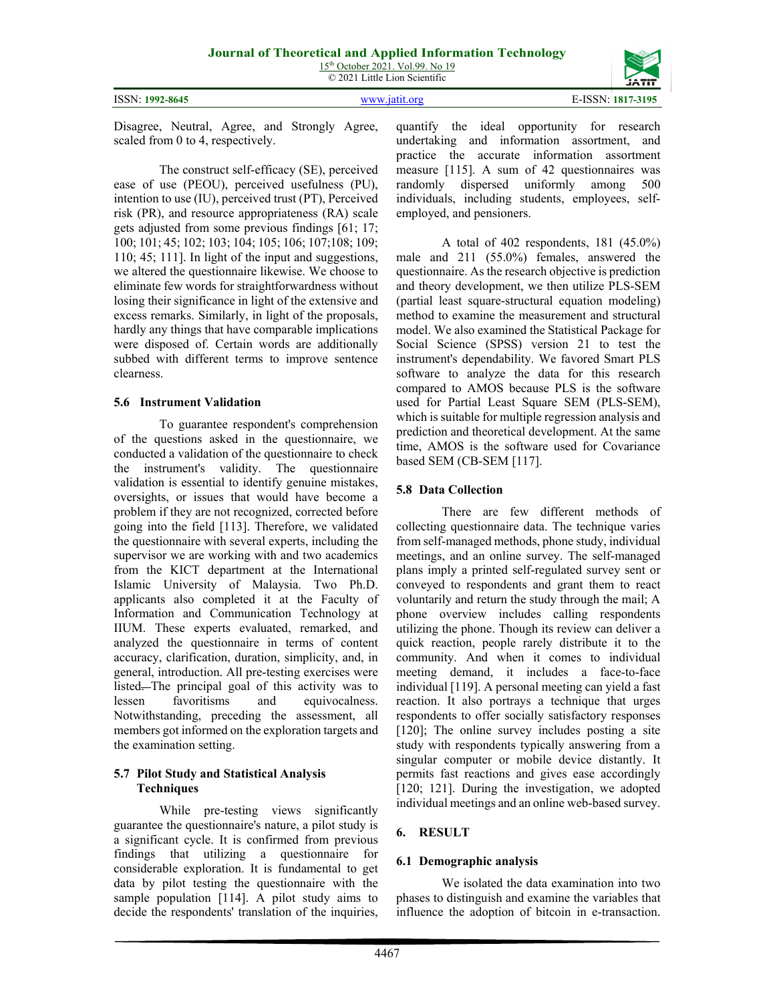ISSN: **1992-8645** [www.jatit.org](http://www.jatit.org/) E-ISSN: **1817-3195**

Disagree, Neutral, Agree, and Strongly Agree, scaled from 0 to 4, respectively.

The construct self-efficacy (SE), perceived ease of use (PEOU), perceived usefulness (PU), intention to use (IU), perceived trust (PT), Perceived risk (PR), and resource appropriateness (RA) scale gets adjusted from some previous findings [61; 17; 100; 101; 45; 102; 103; 104; 105; 106; 107;108; 109; 110; 45; 111]. In light of the input and suggestions, we altered the questionnaire likewise. We choose to eliminate few words for straightforwardness without losing their significance in light of the extensive and excess remarks. Similarly, in light of the proposals, hardly any things that have comparable implications were disposed of. Certain words are additionally subbed with different terms to improve sentence clearness.

### **5.6 Instrument Validation**

To guarantee respondent's comprehension of the questions asked in the questionnaire, we conducted a validation of the questionnaire to check the instrument's validity. The questionnaire validation is essential to identify genuine mistakes, oversights, or issues that would have become a problem if they are not recognized, corrected before going into the field [113]. Therefore, we validated the questionnaire with several experts, including the supervisor we are working with and two academics from the KICT department at the International Islamic University of Malaysia. Two Ph.D. applicants also completed it at the Faculty of Information and Communication Technology at IIUM. These experts evaluated, remarked, and analyzed the questionnaire in terms of content accuracy, clarification, duration, simplicity, and, in general, introduction. All pre-testing exercises were listed. The principal goal of this activity was to lessen favoritisms and equivocalness. Notwithstanding, preceding the assessment, all members got informed on the exploration targets and the examination setting.

#### **5.7 Pilot Study and Statistical Analysis Techniques**

While pre-testing views significantly guarantee the questionnaire's nature, a pilot study is a significant cycle. It is confirmed from previous findings that utilizing a questionnaire for considerable exploration. It is fundamental to get data by pilot testing the questionnaire with the sample population [114]. A pilot study aims to decide the respondents' translation of the inquiries, quantify the ideal opportunity for research undertaking and information assortment, and practice the accurate information assortment measure [115]. A sum of 42 questionnaires was randomly dispersed uniformly among 500 individuals, including students, employees, selfemployed, and pensioners.

A total of 402 respondents, 181 (45.0%) male and 211 (55.0%) females, answered the questionnaire. As the research objective is prediction and theory development, we then utilize PLS-SEM (partial least square-structural equation modeling) method to examine the measurement and structural model. We also examined the Statistical Package for Social Science (SPSS) version 21 to test the instrument's dependability. We favored Smart PLS software to analyze the data for this research compared to AMOS because PLS is the software used for Partial Least Square SEM (PLS-SEM), which is suitable for multiple regression analysis and prediction and theoretical development. At the same time, AMOS is the software used for Covariance based SEM (CB-SEM [117].

# **5.8 Data Collection**

There are few different methods of collecting questionnaire data. The technique varies from self-managed methods, phone study, individual meetings, and an online survey. The self-managed plans imply a printed self-regulated survey sent or conveyed to respondents and grant them to react voluntarily and return the study through the mail; A phone overview includes calling respondents utilizing the phone. Though its review can deliver a quick reaction, people rarely distribute it to the community. And when it comes to individual meeting demand, it includes a face-to-face individual [119]. A personal meeting can yield a fast reaction. It also portrays a technique that urges respondents to offer socially satisfactory responses [120]; The online survey includes posting a site study with respondents typically answering from a singular computer or mobile device distantly. It permits fast reactions and gives ease accordingly [120; 121]. During the investigation, we adopted individual meetings and an online web-based survey.

# **6. RESULT**

# **6.1 Demographic analysis**

We isolated the data examination into two phases to distinguish and examine the variables that influence the adoption of bitcoin in e-transaction.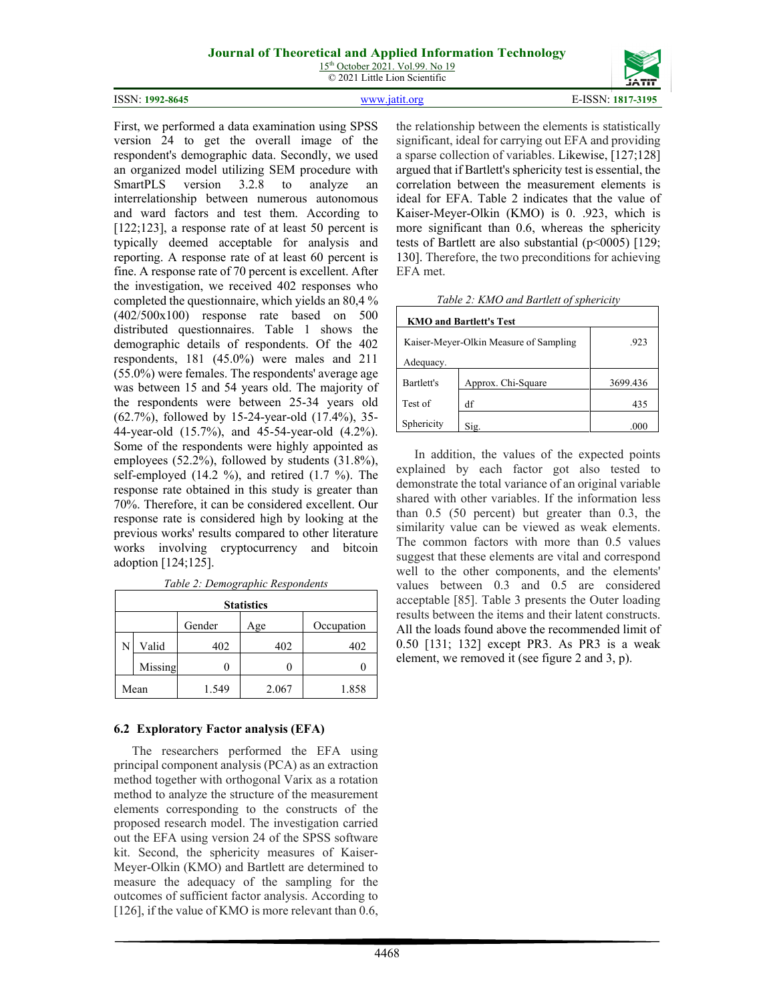15<sup>th</sup> October 2021. Vol.99. No 19 © 2021 Little Lion Scientific

#### ISSN: **1992-8645** [www.jatit.org](http://www.jatit.org/) E-ISSN: **1817-3195**

version 24 to get the overall image of the respondent's demographic data. Secondly, we used an organized model utilizing SEM procedure with SmartPLS version 3.2.8 to analyze an interrelationship between numerous autonomous and ward factors and test them. According to [122;123], a response rate of at least 50 percent is typically deemed acceptable for analysis and reporting. A response rate of at least 60 percent is fine. A response rate of 70 percent is excellent. After the investigation, we received 402 responses who completed the questionnaire, which yields an 80,4 % (402/500x100) response rate based on 500 distributed questionnaires. Table 1 shows the demographic details of respondents. Of the 402 respondents, 181 (45.0%) were males and 211 (55.0%) were females. The respondents' average age was between 15 and 54 years old. The majority of the respondents were between 25-34 years old (62.7%), followed by 15-24-year-old (17.4%), 35- 44-year-old (15.7%), and 45-54-year-old (4.2%). Some of the respondents were highly appointed as employees (52.2%), followed by students (31.8%), self-employed (14.2 %), and retired (1.7 %). The response rate obtained in this study is greater than 70%. Therefore, it can be considered excellent. Our response rate is considered high by looking at the previous works' results compared to other literature works involving cryptocurrency and bitcoin adoption [124;125].

First, we performed a data examination using SPSS

|   |         |        | <b>Statistics</b> |            |
|---|---------|--------|-------------------|------------|
|   |         | Gender | Age               | Occupation |
| N | Valid   | 402    | 402               | 402        |
|   | Missing |        |                   |            |
|   | Mean    | 1.549  | 2.067             | 1.858      |

*Table 2: Demographic Respondents*

#### **6.2 Exploratory Factor analysis (EFA)**

The researchers performed the EFA using principal component analysis (PCA) as an extraction method together with orthogonal Varix as a rotation method to analyze the structure of the measurement elements corresponding to the constructs of the proposed research model. The investigation carried out the EFA using version 24 of the SPSS software kit. Second, the sphericity measures of Kaiser-Meyer-Olkin (KMO) and Bartlett are determined to measure the adequacy of the sampling for the outcomes of sufficient factor analysis. According to [126], if the value of KMO is more relevant than 0.6, the relationship between the elements is statistically significant, ideal for carrying out EFA and providing a sparse collection of variables. Likewise, [127;128] argued that if Bartlett's sphericity test is essential, the correlation between the measurement elements is ideal for EFA. Table 2 indicates that the value of Kaiser-Meyer-Olkin (KMO) is 0. .923, which is more significant than 0.6, whereas the sphericity tests of Bartlett are also substantial ( $p$ <0005) [129; 130]. Therefore, the two preconditions for achieving EFA met.

|  |  |  | Table 2: KMO and Bartlett of sphericity |  |  |
|--|--|--|-----------------------------------------|--|--|
|--|--|--|-----------------------------------------|--|--|

| <b>KMO and Bartlett's Test</b>                 |                    |          |  |  |  |
|------------------------------------------------|--------------------|----------|--|--|--|
| Kaiser-Meyer-Olkin Measure of Sampling<br>.923 |                    |          |  |  |  |
| Adequacy.                                      |                    |          |  |  |  |
| Bartlett's                                     | Approx. Chi-Square | 3699.436 |  |  |  |
| Test of                                        | df                 | 435      |  |  |  |
| Sphericity                                     | Sig.               | .000     |  |  |  |

In addition, the values of the expected points explained by each factor got also tested to demonstrate the total variance of an original variable shared with other variables. If the information less than 0.5 (50 percent) but greater than 0.3, the similarity value can be viewed as weak elements. The common factors with more than 0.5 values suggest that these elements are vital and correspond well to the other components, and the elements' values between 0.3 and 0.5 are considered acceptable [85]. Table 3 presents the Outer loading results between the items and their latent constructs. All the loads found above the recommended limit of 0.50 [131; 132] except PR3. As PR3 is a weak element, we removed it (see figure 2 and 3, p).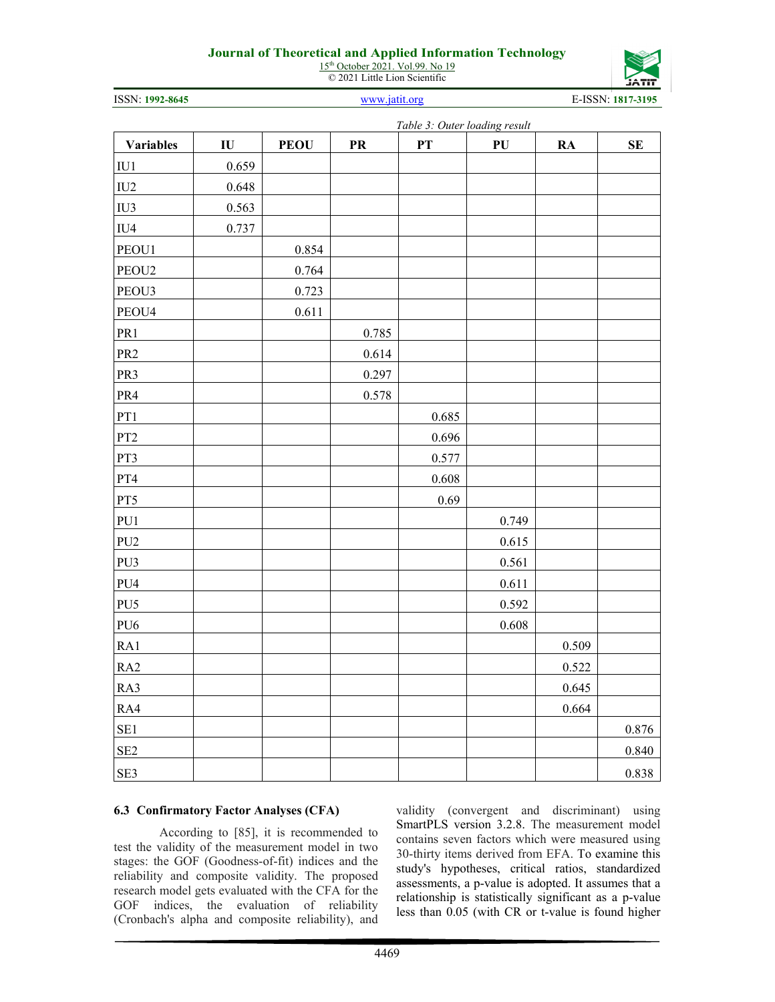15<sup>th</sup> October 2021. Vol.99. No 19 © 2021 Little Lion Scientific



ISSN: **1992-8645** [www.jatit.org](http://www.jatit.org/) E-ISSN: **1817-3195**

|                   | Table 3: Outer loading result |             |           |                 |       |           |           |
|-------------------|-------------------------------|-------------|-----------|-----------------|-------|-----------|-----------|
| <b>Variables</b>  | $\mathbf{I}\mathbf{U}$        | <b>PEOU</b> | <b>PR</b> | $\overline{P}T$ | PU    | <b>RA</b> | SE        |
| IU1               | 0.659                         |             |           |                 |       |           |           |
| IU <sub>2</sub>   | 0.648                         |             |           |                 |       |           |           |
| IU3               | 0.563                         |             |           |                 |       |           |           |
| IU4               | 0.737                         |             |           |                 |       |           |           |
| PEOU1             |                               | 0.854       |           |                 |       |           |           |
| PEOU <sub>2</sub> |                               | 0.764       |           |                 |       |           |           |
| PEOU3             |                               | 0.723       |           |                 |       |           |           |
| PEOU4             |                               | 0.611       |           |                 |       |           |           |
| PR1               |                               |             | 0.785     |                 |       |           |           |
| PR <sub>2</sub>   |                               |             | 0.614     |                 |       |           |           |
| PR3               |                               |             | 0.297     |                 |       |           |           |
| PR4               |                               |             | 0.578     |                 |       |           |           |
| PT1               |                               |             |           | 0.685           |       |           |           |
| PT <sub>2</sub>   |                               |             |           | 0.696           |       |           |           |
| PT3               |                               |             |           | 0.577           |       |           |           |
| $\rm PT4$         |                               |             |           | 0.608           |       |           |           |
| PT5               |                               |             |           | 0.69            |       |           |           |
| PU1               |                               |             |           |                 | 0.749 |           |           |
| PU <sub>2</sub>   |                               |             |           |                 | 0.615 |           |           |
| PU3               |                               |             |           |                 | 0.561 |           |           |
| PU4               |                               |             |           |                 | 0.611 |           |           |
| PU <sub>5</sub>   |                               |             |           |                 | 0.592 |           |           |
| PU <sub>6</sub>   |                               |             |           |                 | 0.608 |           |           |
| RA1               |                               |             |           |                 |       | 0.509     |           |
| RA2               |                               |             |           |                 |       | 0.522     |           |
| RA3               |                               |             |           |                 |       | 0.645     |           |
| RA4               |                               |             |           |                 |       | 0.664     |           |
| SE <sub>1</sub>   |                               |             |           |                 |       |           | $0.876\,$ |
| SE <sub>2</sub>   |                               |             |           |                 |       |           | 0.840     |
| SE3               |                               |             |           |                 |       |           | 0.838     |

#### **6.3 Confirmatory Factor Analyses (CFA)**

According to [85], it is recommended to test the validity of the measurement model in two stages: the GOF (Goodness-of-fit) indices and the reliability and composite validity. The proposed research model gets evaluated with the CFA for the GOF indices, the evaluation of reliability (Cronbach's alpha and composite reliability), and validity (convergent and discriminant) using SmartPLS version 3.2.8. The measurement model contains seven factors which were measured using 30-thirty items derived from EFA. To examine this study's hypotheses, critical ratios, standardized assessments, a p-value is adopted. It assumes that a relationship is statistically significant as a p-value less than 0.05 (with CR or t-value is found higher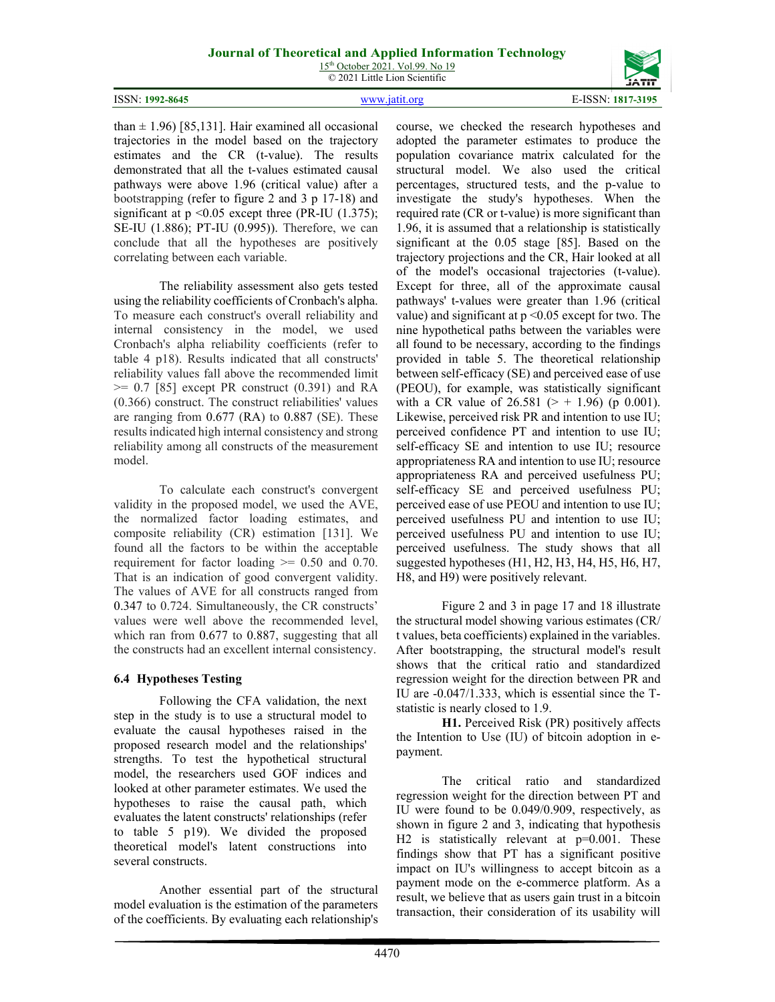15<sup>th</sup> October 2021. Vol.99. No 19 © 2021 Little Lion Scientific

|                 |               | ----              |
|-----------------|---------------|-------------------|
| ISSN: 1992-8645 | www.jatit.org | E-ISSN: 1817-3195 |

than  $\pm$  1.96) [85,131]. Hair examined all occasional trajectories in the model based on the trajectory estimates and the CR (t-value). The results demonstrated that all the t-values estimated causal pathways were above 1.96 (critical value) after a bootstrapping (refer to figure 2 and 3 p 17-18) and significant at  $p \le 0.05$  except three (PR-IU (1.375); SE-IU (1.886); PT-IU (0.995)). Therefore, we can conclude that all the hypotheses are positively correlating between each variable.

The reliability assessment also gets tested using the reliability coefficients of Cronbach's alpha. To measure each construct's overall reliability and internal consistency in the model, we used Cronbach's alpha reliability coefficients (refer to table 4 p18). Results indicated that all constructs' reliability values fall above the recommended limit  $>= 0.7$  [85] except PR construct  $(0.391)$  and RA (0.366) construct. The construct reliabilities' values are ranging from 0.677 (RA) to 0.887 (SE). These results indicated high internal consistency and strong reliability among all constructs of the measurement model.

To calculate each construct's convergent validity in the proposed model, we used the AVE, the normalized factor loading estimates, and composite reliability (CR) estimation [131]. We found all the factors to be within the acceptable requirement for factor loading  $\geq 0.50$  and 0.70. That is an indication of good convergent validity. The values of AVE for all constructs ranged from 0.347 to 0.724. Simultaneously, the CR constructs' values were well above the recommended level, which ran from 0.677 to 0.887, suggesting that all the constructs had an excellent internal consistency.

#### **6.4 Hypotheses Testing**

Following the CFA validation, the next step in the study is to use a structural model to evaluate the causal hypotheses raised in the proposed research model and the relationships' strengths. To test the hypothetical structural model, the researchers used GOF indices and looked at other parameter estimates. We used the hypotheses to raise the causal path, which evaluates the latent constructs' relationships (refer to table 5 p19). We divided the proposed theoretical model's latent constructions into several constructs.

Another essential part of the structural model evaluation is the estimation of the parameters of the coefficients. By evaluating each relationship's course, we checked the research hypotheses and adopted the parameter estimates to produce the population covariance matrix calculated for the structural model. We also used the critical percentages, structured tests, and the p-value to investigate the study's hypotheses. When the required rate (CR or t-value) is more significant than 1.96, it is assumed that a relationship is statistically significant at the 0.05 stage [85]. Based on the trajectory projections and the CR, Hair looked at all of the model's occasional trajectories (t-value). Except for three, all of the approximate causal pathways' t-values were greater than 1.96 (critical value) and significant at  $p \le 0.05$  except for two. The nine hypothetical paths between the variables were all found to be necessary, according to the findings provided in table 5. The theoretical relationship between self-efficacy (SE) and perceived ease of use (PEOU), for example, was statistically significant with a CR value of 26.581 ( $>$  + 1.96) (p 0.001). Likewise, perceived risk PR and intention to use IU; perceived confidence PT and intention to use IU; self-efficacy SE and intention to use IU; resource appropriateness RA and intention to use IU; resource appropriateness RA and perceived usefulness PU; self-efficacy SE and perceived usefulness PU; perceived ease of use PEOU and intention to use IU; perceived usefulness PU and intention to use IU; perceived usefulness PU and intention to use IU; perceived usefulness. The study shows that all suggested hypotheses (H1, H2, H3, H4, H5, H6, H7, H8, and H9) were positively relevant.

Figure 2 and 3 in page 17 and 18 illustrate the structural model showing various estimates (CR/ t values, beta coefficients) explained in the variables. After bootstrapping, the structural model's result shows that the critical ratio and standardized regression weight for the direction between PR and IU are -0.047/1.333, which is essential since the Tstatistic is nearly closed to 1.9.

**H1.** Perceived Risk (PR) positively affects the Intention to Use (IU) of bitcoin adoption in epayment.

The critical ratio and standardized regression weight for the direction between PT and IU were found to be 0.049/0.909, respectively, as shown in figure 2 and 3, indicating that hypothesis H2 is statistically relevant at  $p=0.001$ . These findings show that PT has a significant positive impact on IU's willingness to accept bitcoin as a payment mode on the e-commerce platform. As a result, we believe that as users gain trust in a bitcoin transaction, their consideration of its usability will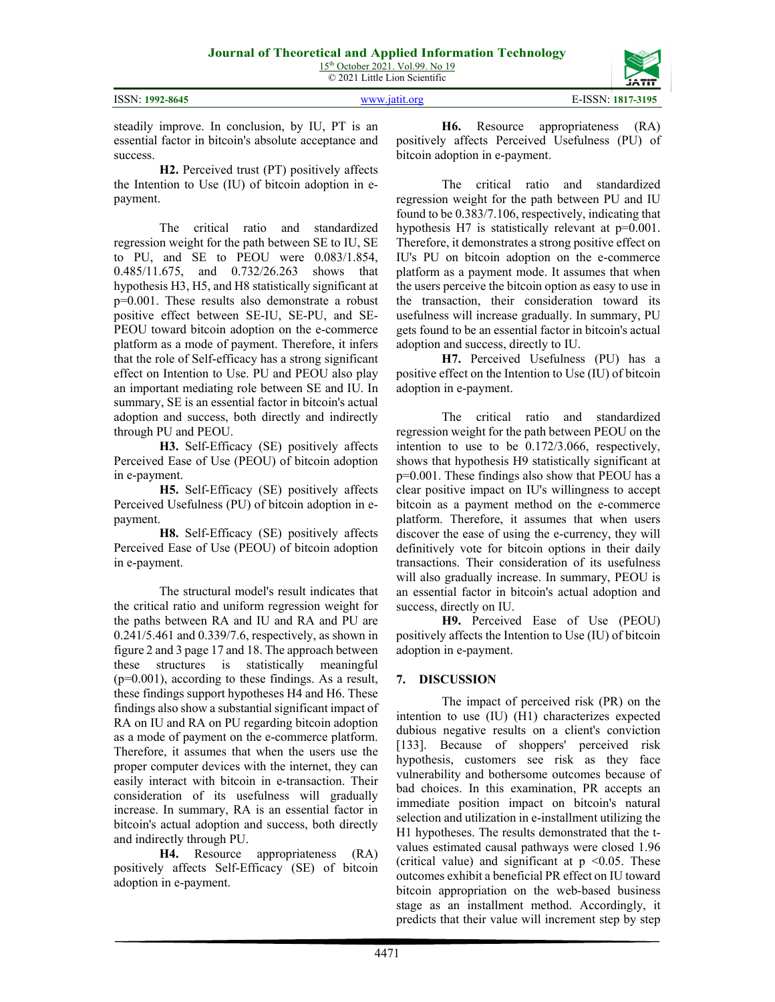| ISSN: 1992-8645 |
|-----------------|
|                 |

steadily improve. In conclusion, by IU, PT is an essential factor in bitcoin's absolute acceptance and success.

**H2.** Perceived trust (PT) positively affects the Intention to Use (IU) of bitcoin adoption in epayment.

The critical ratio and standardized regression weight for the path between SE to IU, SE to PU, and SE to PEOU were 0.083/1.854, 0.485/11.675, and 0.732/26.263 shows that hypothesis H3, H5, and H8 statistically significant at p=0.001. These results also demonstrate a robust positive effect between SE-IU, SE-PU, and SE-PEOU toward bitcoin adoption on the e-commerce platform as a mode of payment. Therefore, it infers that the role of Self-efficacy has a strong significant effect on Intention to Use. PU and PEOU also play an important mediating role between SE and IU. In summary, SE is an essential factor in bitcoin's actual adoption and success, both directly and indirectly through PU and PEOU.

**H3.** Self-Efficacy (SE) positively affects Perceived Ease of Use (PEOU) of bitcoin adoption in e-payment.

**H5.** Self-Efficacy (SE) positively affects Perceived Usefulness (PU) of bitcoin adoption in epayment.

**H8.** Self-Efficacy (SE) positively affects Perceived Ease of Use (PEOU) of bitcoin adoption in e-payment.

The structural model's result indicates that the critical ratio and uniform regression weight for the paths between RA and IU and RA and PU are 0.241/5.461 and 0.339/7.6, respectively, as shown in figure 2 and 3 page 17 and 18. The approach between these structures is statistically meaningful  $(p=0.001)$ , according to these findings. As a result, these findings support hypotheses H4 and H6. These findings also show a substantial significant impact of RA on IU and RA on PU regarding bitcoin adoption as a mode of payment on the e-commerce platform. Therefore, it assumes that when the users use the proper computer devices with the internet, they can easily interact with bitcoin in e-transaction. Their consideration of its usefulness will gradually increase. In summary, RA is an essential factor in bitcoin's actual adoption and success, both directly and indirectly through PU.

**H4.** Resource appropriateness (RA) positively affects Self-Efficacy (SE) of bitcoin adoption in e-payment.

**H6.** Resource appropriateness (RA) positively affects Perceived Usefulness (PU) of bitcoin adoption in e-payment.

The critical ratio and standardized regression weight for the path between PU and IU found to be 0.383/7.106, respectively, indicating that hypothesis H7 is statistically relevant at p=0.001. Therefore, it demonstrates a strong positive effect on IU's PU on bitcoin adoption on the e-commerce platform as a payment mode. It assumes that when the users perceive the bitcoin option as easy to use in the transaction, their consideration toward its usefulness will increase gradually. In summary, PU gets found to be an essential factor in bitcoin's actual adoption and success, directly to IU.

**H7.** Perceived Usefulness (PU) has a positive effect on the Intention to Use (IU) of bitcoin adoption in e-payment.

The critical ratio and standardized regression weight for the path between PEOU on the intention to use to be 0.172/3.066, respectively, shows that hypothesis H9 statistically significant at p=0.001. These findings also show that PEOU has a clear positive impact on IU's willingness to accept bitcoin as a payment method on the e-commerce platform. Therefore, it assumes that when users discover the ease of using the e-currency, they will definitively vote for bitcoin options in their daily transactions. Their consideration of its usefulness will also gradually increase. In summary, PEOU is an essential factor in bitcoin's actual adoption and success, directly on IU.

**H9.** Perceived Ease of Use (PEOU) positively affects the Intention to Use (IU) of bitcoin adoption in e-payment.

#### **7. DISCUSSION**

The impact of perceived risk (PR) on the intention to use (IU) (H1) characterizes expected dubious negative results on a client's conviction [133]. Because of shoppers' perceived risk hypothesis, customers see risk as they face vulnerability and bothersome outcomes because of bad choices. In this examination, PR accepts an immediate position impact on bitcoin's natural selection and utilization in e-installment utilizing the H1 hypotheses. The results demonstrated that the tvalues estimated causal pathways were closed 1.96 (critical value) and significant at  $p \le 0.05$ . These outcomes exhibit a beneficial PR effect on IU toward bitcoin appropriation on the web-based business stage as an installment method. Accordingly, it predicts that their value will increment step by step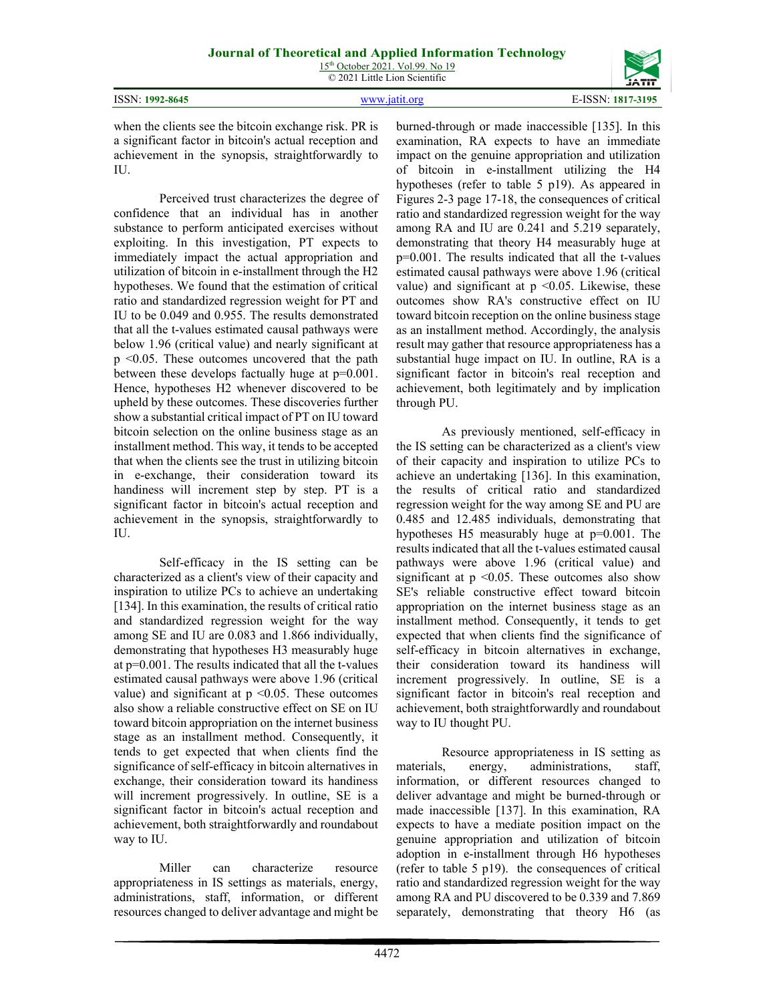|  | 15 <sup>th</sup> October 2021. Vol.99. No 19 |  |
|--|----------------------------------------------|--|
|  | © 2021 Little Lion Scientific                |  |

| ISSN: 1992-8645 | www.jatit.org | E-ISSN: 1817-3195 |
|-----------------|---------------|-------------------|



when the clients see the bitcoin exchange risk. PR is a significant factor in bitcoin's actual reception and achievement in the synopsis, straightforwardly to IU.

Perceived trust characterizes the degree of confidence that an individual has in another substance to perform anticipated exercises without exploiting. In this investigation, PT expects to immediately impact the actual appropriation and utilization of bitcoin in e-installment through the H2 hypotheses. We found that the estimation of critical ratio and standardized regression weight for PT and IU to be 0.049 and 0.955. The results demonstrated that all the t-values estimated causal pathways were below 1.96 (critical value) and nearly significant at p <0.05. These outcomes uncovered that the path between these develops factually huge at p=0.001. Hence, hypotheses H2 whenever discovered to be upheld by these outcomes. These discoveries further show a substantial critical impact of PT on IU toward bitcoin selection on the online business stage as an installment method. This way, it tends to be accepted that when the clients see the trust in utilizing bitcoin in e-exchange, their consideration toward its handiness will increment step by step. PT is a significant factor in bitcoin's actual reception and achievement in the synopsis, straightforwardly to IU.

Self-efficacy in the IS setting can be characterized as a client's view of their capacity and inspiration to utilize PCs to achieve an undertaking [134]. In this examination, the results of critical ratio and standardized regression weight for the way among SE and IU are 0.083 and 1.866 individually, demonstrating that hypotheses H3 measurably huge at p=0.001. The results indicated that all the t-values estimated causal pathways were above 1.96 (critical value) and significant at  $p \le 0.05$ . These outcomes also show a reliable constructive effect on SE on IU toward bitcoin appropriation on the internet business stage as an installment method. Consequently, it tends to get expected that when clients find the significance of self-efficacy in bitcoin alternatives in exchange, their consideration toward its handiness will increment progressively. In outline, SE is a significant factor in bitcoin's actual reception and achievement, both straightforwardly and roundabout way to IU.

Miller can characterize resource appropriateness in IS settings as materials, energy, administrations, staff, information, or different resources changed to deliver advantage and might be burned-through or made inaccessible [135]. In this examination, RA expects to have an immediate impact on the genuine appropriation and utilization of bitcoin in e-installment utilizing the H4 hypotheses (refer to table 5 p19). As appeared in Figures 2-3 page 17-18, the consequences of critical ratio and standardized regression weight for the way among RA and IU are 0.241 and 5.219 separately, demonstrating that theory H4 measurably huge at p=0.001. The results indicated that all the t-values estimated causal pathways were above 1.96 (critical value) and significant at  $p \le 0.05$ . Likewise, these outcomes show RA's constructive effect on IU toward bitcoin reception on the online business stage as an installment method. Accordingly, the analysis result may gather that resource appropriateness has a substantial huge impact on IU. In outline, RA is a significant factor in bitcoin's real reception and achievement, both legitimately and by implication through PU.

As previously mentioned, self-efficacy in the IS setting can be characterized as a client's view of their capacity and inspiration to utilize PCs to achieve an undertaking [136]. In this examination, the results of critical ratio and standardized regression weight for the way among SE and PU are 0.485 and 12.485 individuals, demonstrating that hypotheses H5 measurably huge at p=0.001. The results indicated that all the t-values estimated causal pathways were above 1.96 (critical value) and significant at  $p \leq 0.05$ . These outcomes also show SE's reliable constructive effect toward bitcoin appropriation on the internet business stage as an installment method. Consequently, it tends to get expected that when clients find the significance of self-efficacy in bitcoin alternatives in exchange, their consideration toward its handiness will increment progressively. In outline, SE is a significant factor in bitcoin's real reception and achievement, both straightforwardly and roundabout way to IU thought PU.

Resource appropriateness in IS setting as materials, energy, administrations, staff, information, or different resources changed to deliver advantage and might be burned-through or made inaccessible [137]. In this examination, RA expects to have a mediate position impact on the genuine appropriation and utilization of bitcoin adoption in e-installment through H6 hypotheses (refer to table 5 p19). the consequences of critical ratio and standardized regression weight for the way among RA and PU discovered to be 0.339 and 7.869 separately, demonstrating that theory H6 (as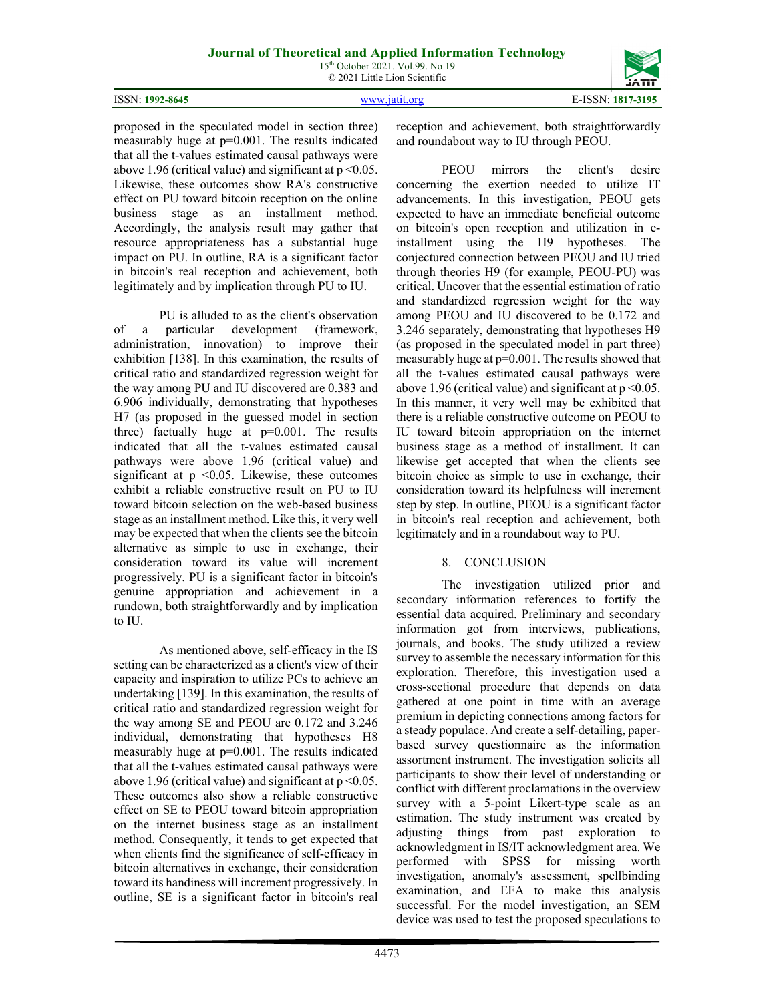proposed in the speculated model in section three) measurably huge at p=0.001. The results indicated that all the t-values estimated causal pathways were above 1.96 (critical value) and significant at  $p \le 0.05$ . Likewise, these outcomes show RA's constructive effect on PU toward bitcoin reception on the online business stage as an installment method. Accordingly, the analysis result may gather that resource appropriateness has a substantial huge impact on PU. In outline, RA is a significant factor in bitcoin's real reception and achievement, both legitimately and by implication through PU to IU.

PU is alluded to as the client's observation of a particular development (framework, administration, innovation) to improve their exhibition [138]. In this examination, the results of critical ratio and standardized regression weight for the way among PU and IU discovered are 0.383 and 6.906 individually, demonstrating that hypotheses H7 (as proposed in the guessed model in section three) factually huge at  $p=0.001$ . The results indicated that all the t-values estimated causal pathways were above 1.96 (critical value) and significant at  $p \leq 0.05$ . Likewise, these outcomes exhibit a reliable constructive result on PU to IU toward bitcoin selection on the web-based business stage as an installment method. Like this, it very well may be expected that when the clients see the bitcoin alternative as simple to use in exchange, their consideration toward its value will increment progressively. PU is a significant factor in bitcoin's genuine appropriation and achievement in a rundown, both straightforwardly and by implication to IU.

As mentioned above, self-efficacy in the IS setting can be characterized as a client's view of their capacity and inspiration to utilize PCs to achieve an undertaking [139]. In this examination, the results of critical ratio and standardized regression weight for the way among SE and PEOU are 0.172 and 3.246 individual, demonstrating that hypotheses H8 measurably huge at  $p=0.001$ . The results indicated that all the t-values estimated causal pathways were above 1.96 (critical value) and significant at  $p \le 0.05$ . These outcomes also show a reliable constructive effect on SE to PEOU toward bitcoin appropriation on the internet business stage as an installment method. Consequently, it tends to get expected that when clients find the significance of self-efficacy in bitcoin alternatives in exchange, their consideration toward its handiness will increment progressively. In outline, SE is a significant factor in bitcoin's real

reception and achievement, both straightforwardly and roundabout way to IU through PEOU.

PEOU mirrors the client's desire concerning the exertion needed to utilize IT advancements. In this investigation, PEOU gets expected to have an immediate beneficial outcome on bitcoin's open reception and utilization in einstallment using the H9 hypotheses. The conjectured connection between PEOU and IU tried through theories H9 (for example, PEOU-PU) was critical. Uncover that the essential estimation of ratio and standardized regression weight for the way among PEOU and IU discovered to be 0.172 and 3.246 separately, demonstrating that hypotheses H9 (as proposed in the speculated model in part three) measurably huge at p=0.001. The results showed that all the t-values estimated causal pathways were above 1.96 (critical value) and significant at  $p < 0.05$ . In this manner, it very well may be exhibited that there is a reliable constructive outcome on PEOU to IU toward bitcoin appropriation on the internet business stage as a method of installment. It can likewise get accepted that when the clients see bitcoin choice as simple to use in exchange, their consideration toward its helpfulness will increment step by step. In outline, PEOU is a significant factor in bitcoin's real reception and achievement, both legitimately and in a roundabout way to PU.

#### 8. CONCLUSION

The investigation utilized prior and secondary information references to fortify the essential data acquired. Preliminary and secondary information got from interviews, publications, journals, and books. The study utilized a review survey to assemble the necessary information for this exploration. Therefore, this investigation used a cross-sectional procedure that depends on data gathered at one point in time with an average premium in depicting connections among factors for a steady populace. And create a self-detailing, paperbased survey questionnaire as the information assortment instrument. The investigation solicits all participants to show their level of understanding or conflict with different proclamations in the overview survey with a 5-point Likert-type scale as an estimation. The study instrument was created by adjusting things from past exploration to acknowledgment in IS/IT acknowledgment area. We performed with SPSS for missing worth investigation, anomaly's assessment, spellbinding examination, and EFA to make this analysis successful. For the model investigation, an SEM device was used to test the proposed speculations to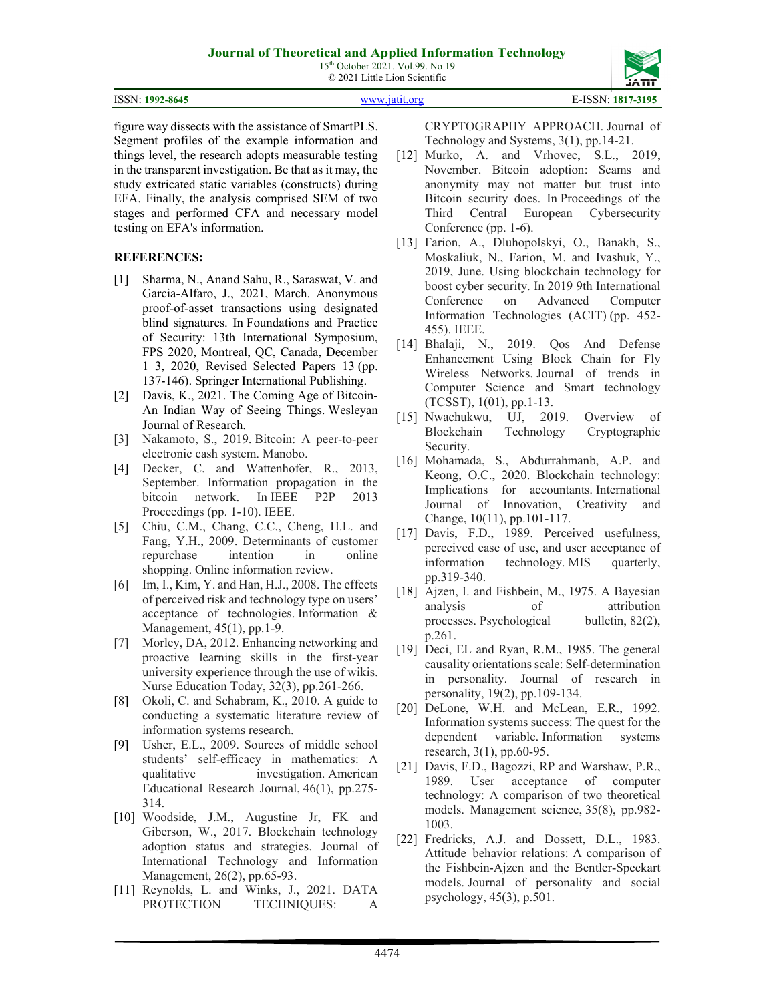15<sup>th</sup> October 2021. Vol.99. No 19 © 2021 Little Lion Scientific

| ISSN: 1992-8645 | WWW.18f1f.org | E-ISSN: 1817-3195 |
|-----------------|---------------|-------------------|

figure way dissects with the assistance of SmartPLS. Segment profiles of the example information and things level, the research adopts measurable testing in the transparent investigation. Be that as it may, the study extricated static variables (constructs) during EFA. Finally, the analysis comprised SEM of two stages and performed CFA and necessary model testing on EFA's information.

#### **REFERENCES:**

- [1] Sharma, N., Anand Sahu, R., Saraswat, V. and Garcia-Alfaro, J., 2021, March. Anonymous proof-of-asset transactions using designated blind signatures. In Foundations and Practice of Security: 13th International Symposium, FPS 2020, Montreal, QC, Canada, December 1–3, 2020, Revised Selected Papers 13 (pp. 137-146). Springer International Publishing.
- [2] Davis, K., 2021. The Coming Age of Bitcoin-An Indian Way of Seeing Things. Wesleyan Journal of Research.
- [3] Nakamoto, S., 2019. Bitcoin: A peer-to-peer electronic cash system. Manobo.
- [4] Decker, C. and Wattenhofer, R., 2013, September. Information propagation in the bitcoin network. In IEEE P2P 2013 Proceedings (pp. 1-10). IEEE.
- [5] Chiu, C.M., Chang, C.C., Cheng, H.L. and Fang, Y.H., 2009. Determinants of customer repurchase intention in online shopping. Online information review.
- [6] Im, I., Kim, Y. and Han, H.J., 2008. The effects of perceived risk and technology type on users' acceptance of technologies. Information & Management, 45(1), pp.1-9.
- [7] Morley, DA, 2012. Enhancing networking and proactive learning skills in the first-year university experience through the use of wikis. Nurse Education Today, 32(3), pp.261-266.
- [8] Okoli, C. and Schabram, K., 2010. A guide to conducting a systematic literature review of information systems research.
- [9] Usher, E.L., 2009. Sources of middle school students' self-efficacy in mathematics: A qualitative investigation. American Educational Research Journal, 46(1), pp.275- 314.
- [10] Woodside, J.M., Augustine Jr, FK and Giberson, W., 2017. Blockchain technology adoption status and strategies. Journal of International Technology and Information Management, 26(2), pp.65-93.
- [11] Reynolds, L. and Winks, J., 2021. DATA PROTECTION TECHNIQUES: A

CRYPTOGRAPHY APPROACH. Journal of Technology and Systems, 3(1), pp.14-21.

- [12] Murko, A. and Vrhovec, S.L., 2019, November. Bitcoin adoption: Scams and anonymity may not matter but trust into Bitcoin security does. In Proceedings of the Third Central European Cybersecurity Conference (pp. 1-6).
- [13] Farion, A., Dluhopolskyi, O., Banakh, S., Moskaliuk, N., Farion, M. and Ivashuk, Y., 2019, June. Using blockchain technology for boost cyber security. In 2019 9th International Conference on Advanced Computer Information Technologies (ACIT) (pp. 452- 455). IEEE.
- [14] Bhalaji, N., 2019. Qos And Defense Enhancement Using Block Chain for Fly Wireless Networks. Journal of trends in Computer Science and Smart technology (TCSST), 1(01), pp.1-13.
- [15] Nwachukwu, UJ, 2019. Overview of Blockchain Technology Cryptographic Security.
- [16] Mohamada, S., Abdurrahmanb, A.P. and Keong, O.C., 2020. Blockchain technology: Implications for accountants. International Journal of Innovation, Creativity and Change, 10(11), pp.101-117.
- [17] Davis, F.D., 1989. Perceived usefulness, perceived ease of use, and user acceptance of information technology. MIS quarterly, pp.319-340.
- [18] Ajzen, I. and Fishbein, M., 1975. A Bayesian analysis of attribution processes. Psychological bulletin, 82(2), p.261.
- [19] Deci, EL and Ryan, R.M., 1985. The general causality orientations scale: Self-determination in personality. Journal of research in personality, 19(2), pp.109-134.
- [20] DeLone, W.H. and McLean, E.R., 1992. Information systems success: The quest for the dependent variable. Information systems research, 3(1), pp.60-95.
- [21] Davis, F.D., Bagozzi, RP and Warshaw, P.R., 1989. User acceptance of computer technology: A comparison of two theoretical models. Management science, 35(8), pp.982- 1003.
- [22] Fredricks, A.J. and Dossett, D.L., 1983. Attitude–behavior relations: A comparison of the Fishbein-Ajzen and the Bentler-Speckart models. Journal of personality and social psychology, 45(3), p.501.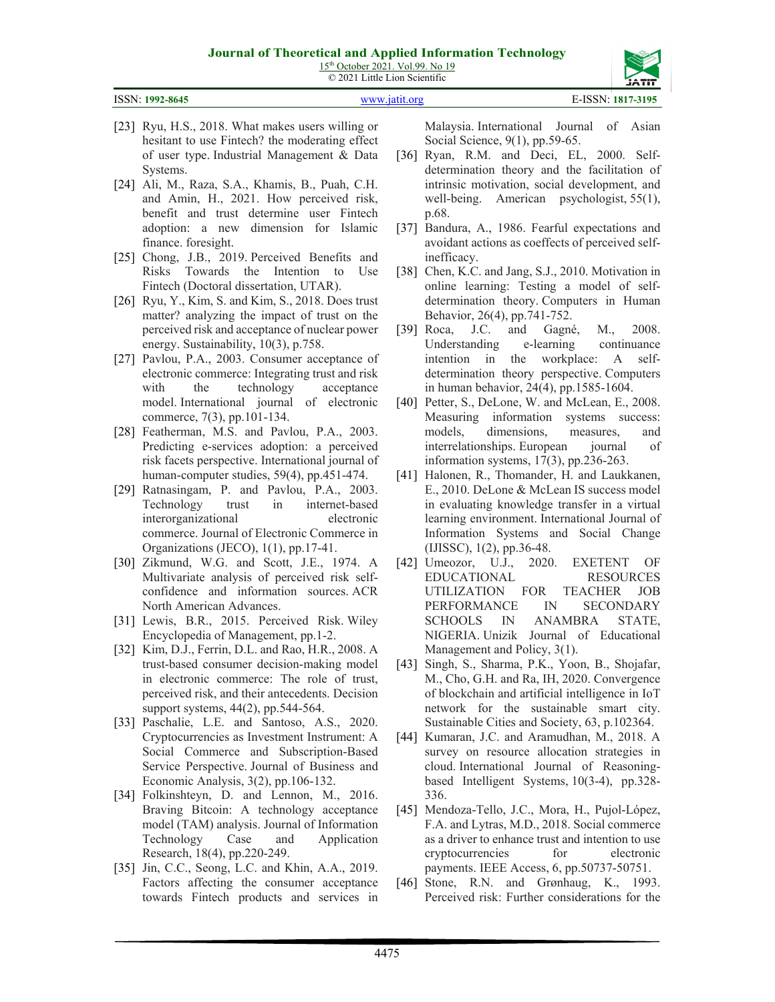15<sup>th</sup> October 2021. Vol.99. No 19 © 2021 Little Lion Scientific

ISSN: **1992-8645** [www.jatit.org](http://www.jatit.org/) E-ISSN: **1817-3195**

- [23] Ryu, H.S., 2018. What makes users willing or hesitant to use Fintech? the moderating effect of user type. Industrial Management & Data Systems.
- [24] Ali, M., Raza, S.A., Khamis, B., Puah, C.H. and Amin, H., 2021. How perceived risk, benefit and trust determine user Fintech adoption: a new dimension for Islamic finance. foresight.
- [25] Chong, J.B., 2019. Perceived Benefits and Risks Towards the Intention to Use Fintech (Doctoral dissertation, UTAR).
- [26] Ryu, Y., Kim, S. and Kim, S., 2018. Does trust matter? analyzing the impact of trust on the perceived risk and acceptance of nuclear power energy. Sustainability, 10(3), p.758.
- [27] Pavlou, P.A., 2003. Consumer acceptance of electronic commerce: Integrating trust and risk with the technology acceptance model. International journal of electronic commerce, 7(3), pp.101-134.
- [28] Featherman, M.S. and Pavlou, P.A., 2003. Predicting e-services adoption: a perceived risk facets perspective. International journal of human-computer studies, 59(4), pp.451-474.
- [29] Ratnasingam, P. and Pavlou, P.A., 2003. Technology trust in internet-based interorganizational electronic commerce. Journal of Electronic Commerce in Organizations (JECO), 1(1), pp.17-41.
- [30] Zikmund, W.G. and Scott, J.E., 1974. A Multivariate analysis of perceived risk selfconfidence and information sources. ACR North American Advances.
- [31] Lewis, B.R., 2015. Perceived Risk. Wiley Encyclopedia of Management, pp.1-2.
- [32] Kim, D.J., Ferrin, D.L. and Rao, H.R., 2008. A trust-based consumer decision-making model in electronic commerce: The role of trust, perceived risk, and their antecedents. Decision support systems, 44(2), pp.544-564.
- [33] Paschalie, L.E. and Santoso, A.S., 2020. Cryptocurrencies as Investment Instrument: A Social Commerce and Subscription-Based Service Perspective. Journal of Business and Economic Analysis, 3(2), pp.106-132.
- [34] Folkinshteyn, D. and Lennon, M., 2016. Braving Bitcoin: A technology acceptance model (TAM) analysis. Journal of Information Technology Case and Application Research, 18(4), pp.220-249.
- [35] Jin, C.C., Seong, L.C. and Khin, A.A., 2019. Factors affecting the consumer acceptance towards Fintech products and services in

Malaysia. International Journal of Asian Social Science, 9(1), pp.59-65.

- [36] Ryan, R.M. and Deci, EL, 2000. Selfdetermination theory and the facilitation of intrinsic motivation, social development, and well-being. American psychologist, 55(1), p.68.
- [37] Bandura, A., 1986. Fearful expectations and avoidant actions as coeffects of perceived selfinefficacy.
- [38] Chen, K.C. and Jang, S.J., 2010. Motivation in online learning: Testing a model of selfdetermination theory. Computers in Human Behavior, 26(4), pp.741-752.
- [39] Roca, J.C. and Gagné, M., 2008. Understanding e-learning continuance intention in the workplace: A selfdetermination theory perspective. Computers in human behavior, 24(4), pp.1585-1604.
- [40] Petter, S., DeLone, W. and McLean, E., 2008. Measuring information systems success: models, dimensions, measures, and interrelationships. European journal of information systems, 17(3), pp.236-263.
- [41] Halonen, R., Thomander, H. and Laukkanen, E., 2010. DeLone & McLean IS success model in evaluating knowledge transfer in a virtual learning environment. International Journal of Information Systems and Social Change (IJISSC), 1(2), pp.36-48.
- [42] Umeozor, U.J., 2020. EXETENT OF EDUCATIONAL RESOURCES UTILIZATION FOR TEACHER JOB PERFORMANCE IN SECONDARY SCHOOLS IN ANAMBRA STATE, NIGERIA. Unizik Journal of Educational Management and Policy, 3(1).
- [43] Singh, S., Sharma, P.K., Yoon, B., Shojafar, M., Cho, G.H. and Ra, IH, 2020. Convergence of blockchain and artificial intelligence in IoT network for the sustainable smart city. Sustainable Cities and Society, 63, p.102364.
- [44] Kumaran, J.C. and Aramudhan, M., 2018. A survey on resource allocation strategies in cloud. International Journal of Reasoningbased Intelligent Systems, 10(3-4), pp.328- 336.
- [45] Mendoza-Tello, J.C., Mora, H., Pujol-López, F.A. and Lytras, M.D., 2018. Social commerce as a driver to enhance trust and intention to use cryptocurrencies for electronic payments. IEEE Access, 6, pp.50737-50751.
- [46] Stone, R.N. and Grønhaug, K., 1993. Perceived risk: Further considerations for the

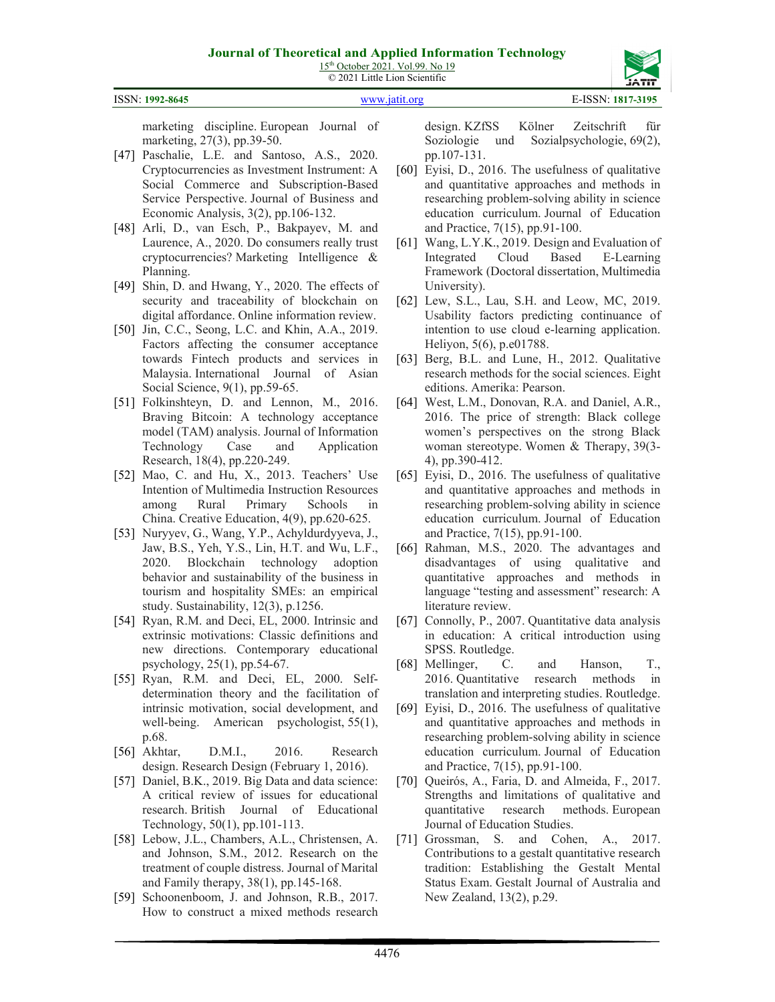

marketing discipline. European Journal of marketing, 27(3), pp.39-50.

- [47] Paschalie, L.E. and Santoso, A.S., 2020. Cryptocurrencies as Investment Instrument: A Social Commerce and Subscription-Based Service Perspective. Journal of Business and Economic Analysis, 3(2), pp.106-132.
- [48] Arli, D., van Esch, P., Bakpayev, M. and Laurence, A., 2020. Do consumers really trust cryptocurrencies? Marketing Intelligence & Planning.
- [49] Shin, D. and Hwang, Y., 2020. The effects of security and traceability of blockchain on digital affordance. Online information review.
- [50] Jin, C.C., Seong, L.C. and Khin, A.A., 2019. Factors affecting the consumer acceptance towards Fintech products and services in Malaysia. International Journal of Asian Social Science, 9(1), pp.59-65.
- [51] Folkinshteyn, D. and Lennon, M., 2016. Braving Bitcoin: A technology acceptance model (TAM) analysis. Journal of Information Technology Case and Application Research, 18(4), pp.220-249.
- [52] Mao, C. and Hu, X., 2013. Teachers' Use Intention of Multimedia Instruction Resources among Rural Primary Schools in China. Creative Education, 4(9), pp.620-625.
- [53] Nuryyev, G., Wang, Y.P., Achyldurdyyeva, J., Jaw, B.S., Yeh, Y.S., Lin, H.T. and Wu, L.F., 2020. Blockchain technology adoption behavior and sustainability of the business in tourism and hospitality SMEs: an empirical study. Sustainability, 12(3), p.1256.
- [54] Ryan, R.M. and Deci, EL, 2000. Intrinsic and extrinsic motivations: Classic definitions and new directions. Contemporary educational psychology, 25(1), pp.54-67.
- [55] Ryan, R.M. and Deci, EL, 2000. Selfdetermination theory and the facilitation of intrinsic motivation, social development, and well-being. American psychologist, 55(1), p.68.
- [56] Akhtar, D.M.I., 2016. Research design. Research Design (February 1, 2016).
- [57] Daniel, B.K., 2019. Big Data and data science: A critical review of issues for educational research. British Journal of Educational Technology, 50(1), pp.101-113.
- [58] Lebow, J.L., Chambers, A.L., Christensen, A. and Johnson, S.M., 2012. Research on the treatment of couple distress. Journal of Marital and Family therapy, 38(1), pp.145-168.
- [59] Schoonenboom, J. and Johnson, R.B., 2017. How to construct a mixed methods research

design. KZfSS Kölner Zeitschrift für Soziologie und Sozialpsychologie, 69(2), pp.107-131.

- [60] Eyisi, D., 2016. The usefulness of qualitative and quantitative approaches and methods in researching problem-solving ability in science education curriculum. Journal of Education and Practice, 7(15), pp.91-100.
- [61] Wang, L.Y.K., 2019. Design and Evaluation of Integrated Cloud Based E-Learning Framework (Doctoral dissertation, Multimedia University).
- [62] Lew, S.L., Lau, S.H. and Leow, MC, 2019. Usability factors predicting continuance of intention to use cloud e-learning application. Heliyon, 5(6), p.e01788.
- [63] Berg, B.L. and Lune, H., 2012. Qualitative research methods for the social sciences. Eight editions. Amerika: Pearson.
- [64] West, L.M., Donovan, R.A. and Daniel, A.R., 2016. The price of strength: Black college women's perspectives on the strong Black woman stereotype. Women & Therapy, 39(3- 4), pp.390-412.
- [65] Eyisi, D., 2016. The usefulness of qualitative and quantitative approaches and methods in researching problem-solving ability in science education curriculum. Journal of Education and Practice, 7(15), pp.91-100.
- [66] Rahman, M.S., 2020. The advantages and disadvantages of using qualitative and quantitative approaches and methods in language "testing and assessment" research: A literature review.
- [67] Connolly, P., 2007. Quantitative data analysis in education: A critical introduction using SPSS. Routledge.
- [68] Mellinger, C. and Hanson, T., 2016. Quantitative research methods in translation and interpreting studies. Routledge.
- [69] Eyisi, D., 2016. The usefulness of qualitative and quantitative approaches and methods in researching problem-solving ability in science education curriculum. Journal of Education and Practice, 7(15), pp.91-100.
- [70] Queirós, A., Faria, D. and Almeida, F., 2017. Strengths and limitations of qualitative and quantitative research methods. European Journal of Education Studies.
- [71] Grossman, S. and Cohen, A., 2017. Contributions to a gestalt quantitative research tradition: Establishing the Gestalt Mental Status Exam. Gestalt Journal of Australia and New Zealand, 13(2), p.29.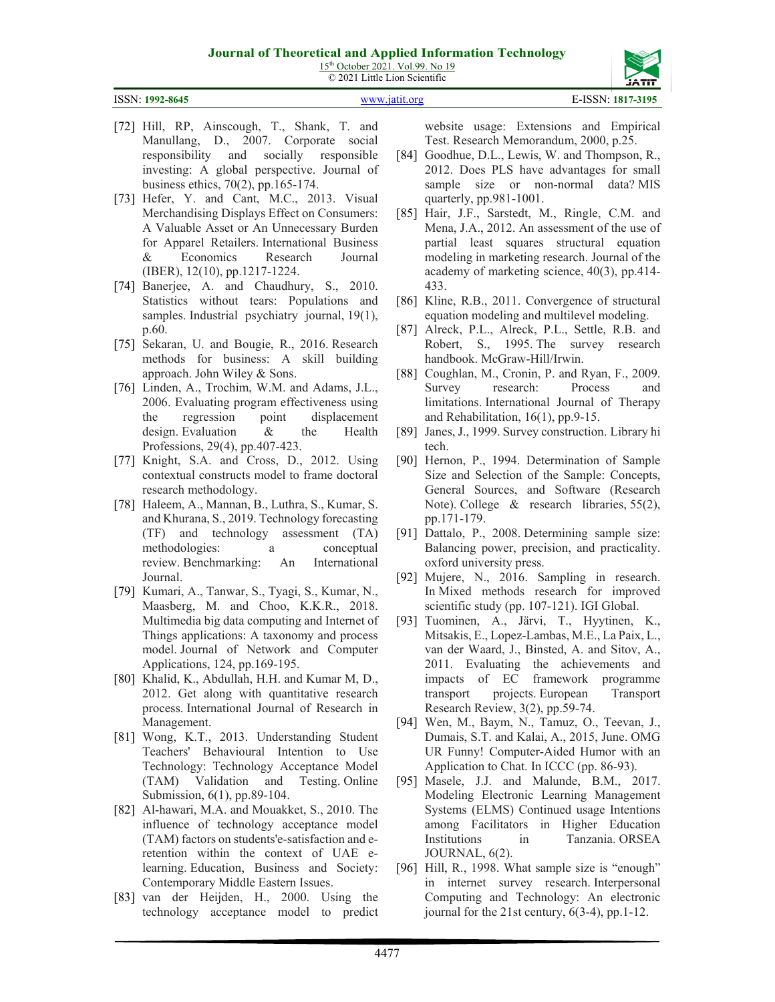15<sup>th</sup> October 2021. Vol.99. No 19 © 2021 Little Lion Scientific



ISSN: **1992-8645** [www.jatit.org](http://www.jatit.org/) E-ISSN: **1817-3195**

- [72] Hill, RP, Ainscough, T., Shank, T. and Manullang, D., 2007. Corporate social responsibility and socially responsible investing: A global perspective. Journal of business ethics, 70(2), pp.165-174.
- [73] Hefer, Y. and Cant, M.C., 2013. Visual Merchandising Displays Effect on Consumers: A Valuable Asset or An Unnecessary Burden for Apparel Retailers. International Business & Economics Research Journal (IBER), 12(10), pp.1217-1224.
- [74] Banerjee, A. and Chaudhury, S., 2010. Statistics without tears: Populations and samples. Industrial psychiatry journal, 19(1), p.60.
- [75] Sekaran, U. and Bougie, R., 2016. Research methods for business: A skill building approach. John Wiley & Sons.
- [76] Linden, A., Trochim, W.M. and Adams, J.L., 2006. Evaluating program effectiveness using the regression point displacement design. Evaluation & the Health Professions, 29(4), pp.407-423.
- [77] Knight, S.A. and Cross, D., 2012. Using contextual constructs model to frame doctoral research methodology.
- [78] Haleem, A., Mannan, B., Luthra, S., Kumar, S. and Khurana, S., 2019. Technology forecasting (TF) and technology assessment (TA) methodologies: a conceptual review. Benchmarking: An International Journal.
- [79] Kumari, A., Tanwar, S., Tyagi, S., Kumar, N., Maasberg, M. and Choo, K.K.R., 2018. Multimedia big data computing and Internet of Things applications: A taxonomy and process model. Journal of Network and Computer Applications, 124, pp.169-195.
- [80] Khalid, K., Abdullah, H.H. and Kumar M, D., 2012. Get along with quantitative research process. International Journal of Research in Management.
- [81] Wong, K.T., 2013. Understanding Student Teachers' Behavioural Intention to Use Technology: Technology Acceptance Model (TAM) Validation and Testing. Online Submission, 6(1), pp.89-104.
- [82] Al-hawari, M.A. and Mouakket, S., 2010. The influence of technology acceptance model (TAM) factors on students'e‐satisfaction and e‐ retention within the context of UAE e‐ learning. Education, Business and Society: Contemporary Middle Eastern Issues.
- [83] van der Heijden, H., 2000. Using the technology acceptance model to predict

website usage: Extensions and Empirical Test. Research Memorandum, 2000, p.25.

- [84] Goodhue, D.L., Lewis, W. and Thompson, R., 2012. Does PLS have advantages for small sample size or non-normal data? MIS quarterly, pp.981-1001.
- [85] Hair, J.F., Sarstedt, M., Ringle, C.M. and Mena, J.A., 2012. An assessment of the use of partial least squares structural equation modeling in marketing research. Journal of the academy of marketing science, 40(3), pp.414- 433.
- [86] Kline, R.B., 2011. Convergence of structural equation modeling and multilevel modeling.
- [87] Alreck, P.L., Alreck, P.L., Settle, R.B. and Robert, S., 1995. The survey research handbook. McGraw-Hill/Irwin.
- [88] Coughlan, M., Cronin, P. and Ryan, F., 2009. Survey research: Process and limitations. International Journal of Therapy and Rehabilitation, 16(1), pp.9-15.
- [89] Janes, J., 1999. Survey construction. Library hi tech.
- [90] Hernon, P., 1994. Determination of Sample Size and Selection of the Sample: Concepts, General Sources, and Software (Research Note). College & research libraries, 55(2), pp.171-179.
- [91] Dattalo, P., 2008. Determining sample size: Balancing power, precision, and practicality. oxford university press.
- [92] Mujere, N., 2016. Sampling in research. In Mixed methods research for improved scientific study (pp. 107-121). IGI Global.
- [93] Tuominen, A., Järvi, T., Hyytinen, K., Mitsakis, E., Lopez-Lambas, M.E., La Paix, L., van der Waard, J., Binsted, A. and Sitov, A., 2011. Evaluating the achievements and impacts of EC framework programme transport projects. European Transport Research Review, 3(2), pp.59-74.
- [94] Wen, M., Baym, N., Tamuz, O., Teevan, J., Dumais, S.T. and Kalai, A., 2015, June. OMG UR Funny! Computer-Aided Humor with an Application to Chat. In ICCC (pp. 86-93).
- [95] Masele, J.J. and Malunde, B.M., 2017. Modeling Electronic Learning Management Systems (ELMS) Continued usage Intentions among Facilitators in Higher Education Institutions in Tanzania. ORSEA JOURNAL, 6(2).
- [96] Hill, R., 1998. What sample size is "enough" in internet survey research. Interpersonal Computing and Technology: An electronic journal for the 21st century, 6(3-4), pp.1-12.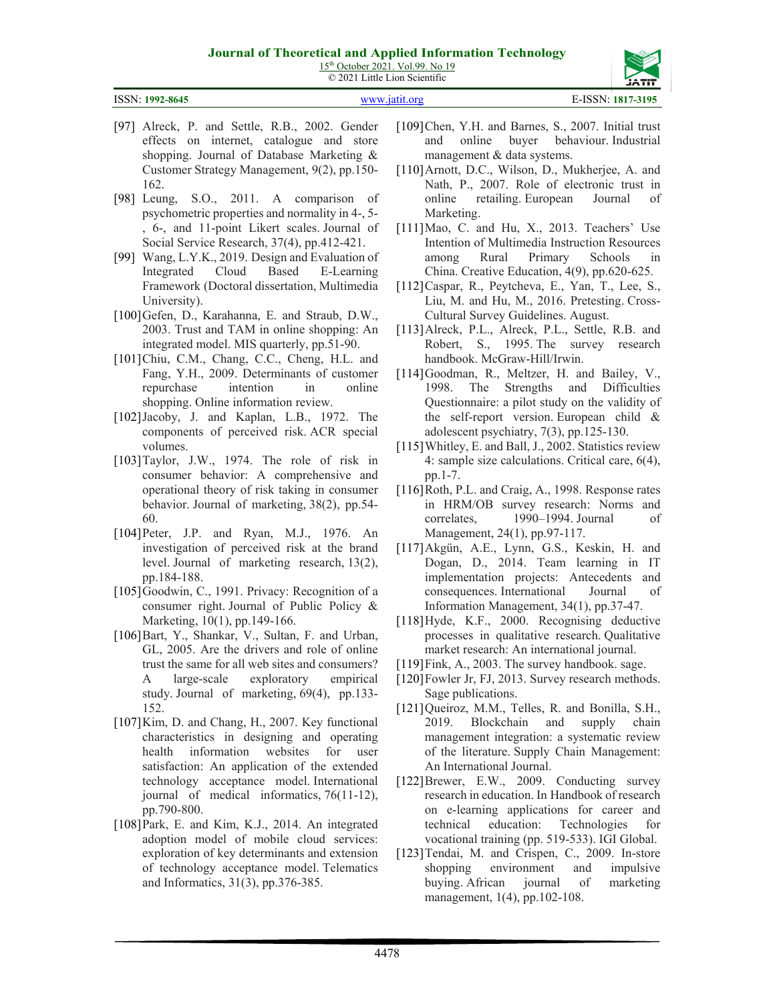15<sup>th</sup> October 2021. Vol.99. No 19 © 2021 Little Lion Scientific



| ISSN: 1992-8645 | www.jatit.org | E-ISSN: 1817-3195 |
|-----------------|---------------|-------------------|
|                 |               |                   |

- [97] Alreck, P. and Settle, R.B., 2002. Gender effects on internet, catalogue and store shopping. Journal of Database Marketing & Customer Strategy Management, 9(2), pp.150- 162.
- [98] Leung, S.O., 2011. A comparison of psychometric properties and normality in 4-, 5- , 6-, and 11-point Likert scales. Journal of Social Service Research, 37(4), pp.412-421.
- [99] Wang, L.Y.K., 2019. Design and Evaluation of Integrated Cloud Based E-Learning Framework (Doctoral dissertation, Multimedia University).
- [100]Gefen, D., Karahanna, E. and Straub, D.W., 2003. Trust and TAM in online shopping: An integrated model. MIS quarterly, pp.51-90.
- [101]Chiu, C.M., Chang, C.C., Cheng, H.L. and Fang, Y.H., 2009. Determinants of customer repurchase intention in online shopping. Online information review.
- [102]Jacoby, J. and Kaplan, L.B., 1972. The components of perceived risk. ACR special volumes.
- [103]Taylor, J.W., 1974. The role of risk in consumer behavior: A comprehensive and operational theory of risk taking in consumer behavior. Journal of marketing, 38(2), pp.54- 60.
- [104]Peter, J.P. and Ryan, M.J., 1976. An investigation of perceived risk at the brand level. Journal of marketing research, 13(2), pp.184-188.
- [105] Goodwin, C., 1991. Privacy: Recognition of a consumer right. Journal of Public Policy & Marketing, 10(1), pp.149-166.
- [106]Bart, Y., Shankar, V., Sultan, F. and Urban, GL, 2005. Are the drivers and role of online trust the same for all web sites and consumers? A large-scale exploratory empirical study. Journal of marketing, 69(4), pp.133- 152.
- [107]Kim, D. and Chang, H., 2007. Key functional characteristics in designing and operating health information websites for user satisfaction: An application of the extended technology acceptance model. International journal of medical informatics, 76(11-12), pp.790-800.
- [108]Park, E. and Kim, K.J., 2014. An integrated adoption model of mobile cloud services: exploration of key determinants and extension of technology acceptance model. Telematics and Informatics, 31(3), pp.376-385.
- [109]Chen, Y.H. and Barnes, S., 2007. Initial trust and online buyer behaviour. Industrial management & data systems.
- [110]Arnott, D.C., Wilson, D., Mukherjee, A. and Nath, P., 2007. Role of electronic trust in online retailing. European Journal of Marketing.
- [111]Mao, C. and Hu, X., 2013. Teachers' Use Intention of Multimedia Instruction Resources among Rural Primary Schools in China. Creative Education, 4(9), pp.620-625.
- [112]Caspar, R., Peytcheva, E., Yan, T., Lee, S., Liu, M. and Hu, M., 2016. Pretesting. Cross-Cultural Survey Guidelines. August.
- [113] Alreck, P.L., Alreck, P.L., Settle, R.B. and Robert, S., 1995. The survey research handbook. McGraw-Hill/Irwin.
- [114]Goodman, R., Meltzer, H. and Bailey, V., 1998. The Strengths and Difficulties Questionnaire: a pilot study on the validity of the self-report version. European child & adolescent psychiatry, 7(3), pp.125-130.
- [115] Whitley, E. and Ball, J., 2002. Statistics review 4: sample size calculations. Critical care, 6(4), pp.1-7.
- [116]Roth, P.L. and Craig, A., 1998. Response rates in HRM/OB survey research: Norms and correlates, 1990–1994. Journal of Management, 24(1), pp.97-117.
- [117]Akgün, A.E., Lynn, G.S., Keskin, H. and Dogan, D., 2014. Team learning in IT implementation projects: Antecedents and consequences. International Journal of Information Management, 34(1), pp.37-47.
- [118]Hyde, K.F., 2000. Recognising deductive processes in qualitative research. Qualitative market research: An international journal.
- [119] Fink, A., 2003. The survey handbook. sage.
- [120] Fowler Jr, FJ, 2013. Survey research methods. Sage publications.
- [121]Queiroz, M.M., Telles, R. and Bonilla, S.H., 2019. Blockchain and supply chain management integration: a systematic review of the literature. Supply Chain Management: An International Journal.
- [122]Brewer, E.W., 2009. Conducting survey research in education. In Handbook of research on e-learning applications for career and technical education: Technologies for vocational training (pp. 519-533). IGI Global.
- [123]Tendai, M. and Crispen, C., 2009. In-store shopping environment and impulsive buying. African journal of marketing management, 1(4), pp.102-108.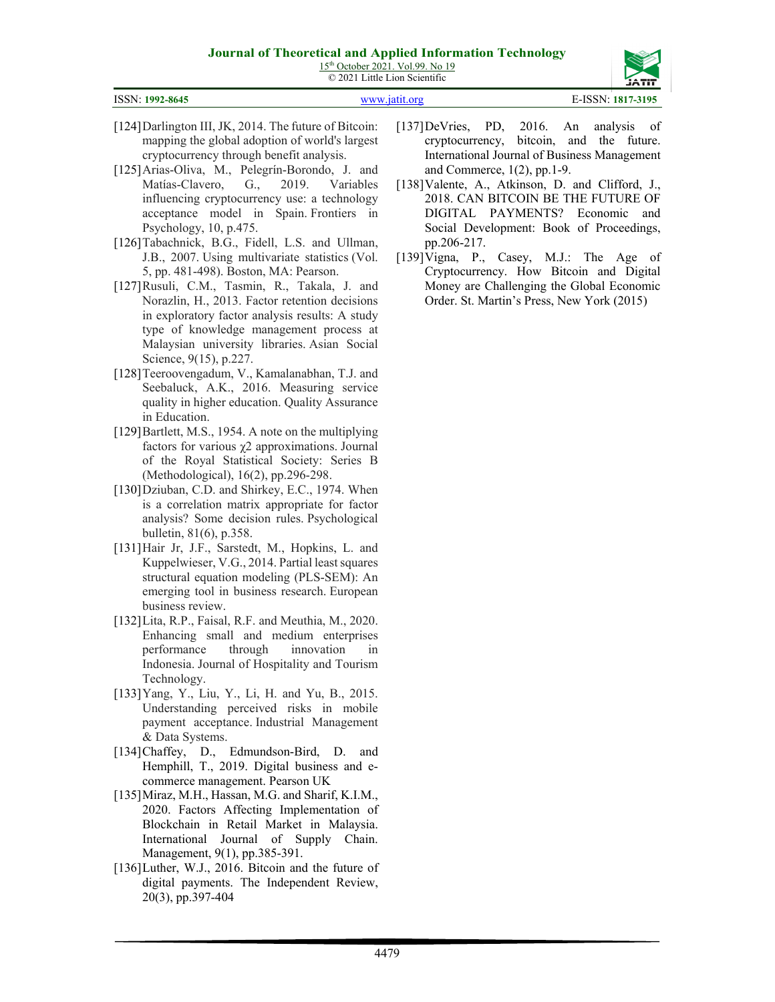15<sup>th</sup> October 2021. Vol.99. No 19 © 2021 Little Lion Scientific

| ISSN: 1992-8645 | www.jatit.org | E-ISSN: 1817-3195 |
|-----------------|---------------|-------------------|

- [124]Darlington III, JK, 2014. The future of Bitcoin: mapping the global adoption of world's largest cryptocurrency through benefit analysis.
- [125] Arias-Oliva, M., Pelegrín-Borondo, J. and Matías-Clavero, G., 2019. Variables influencing cryptocurrency use: a technology acceptance model in Spain. Frontiers in Psychology, 10, p.475.
- [126]Tabachnick, B.G., Fidell, L.S. and Ullman, J.B., 2007. Using multivariate statistics (Vol. 5, pp. 481-498). Boston, MA: Pearson.
- [127]Rusuli, C.M., Tasmin, R., Takala, J. and Norazlin, H., 2013. Factor retention decisions in exploratory factor analysis results: A study type of knowledge management process at Malaysian university libraries. Asian Social Science, 9(15), p.227.
- [128]Teeroovengadum, V., Kamalanabhan, T.J. and Seebaluck, A.K., 2016. Measuring service quality in higher education. Quality Assurance in Education.
- [129]Bartlett, M.S., 1954. A note on the multiplying factors for various  $\chi$ 2 approximations. Journal of the Royal Statistical Society: Series B (Methodological), 16(2), pp.296-298.
- [130]Dziuban, C.D. and Shirkey, E.C., 1974. When is a correlation matrix appropriate for factor analysis? Some decision rules. Psychological bulletin, 81(6), p.358.
- [131]Hair Jr, J.F., Sarstedt, M., Hopkins, L. and Kuppelwieser, V.G., 2014. Partial least squares structural equation modeling (PLS-SEM): An emerging tool in business research. European business review.
- [132]Lita, R.P., Faisal, R.F. and Meuthia, M., 2020. Enhancing small and medium enterprises performance through innovation in Indonesia. Journal of Hospitality and Tourism Technology.
- [133]Yang, Y., Liu, Y., Li, H. and Yu, B., 2015. Understanding perceived risks in mobile payment acceptance. Industrial Management & Data Systems.
- [134]Chaffey, D., Edmundson-Bird, D. and Hemphill, T., 2019. Digital business and ecommerce management. Pearson UK
- [135]Miraz, M.H., Hassan, M.G. and Sharif, K.I.M., 2020. Factors Affecting Implementation of Blockchain in Retail Market in Malaysia. International Journal of Supply Chain. Management, 9(1), pp.385-391.
- [136]Luther, W.J., 2016. Bitcoin and the future of digital payments. The Independent Review, 20(3), pp.397-404
- [137]DeVries, PD, 2016. An analysis of cryptocurrency, bitcoin, and the future. International Journal of Business Management and Commerce, 1(2), pp.1-9.
- [138] Valente, A., Atkinson, D. and Clifford, J., 2018. CAN BITCOIN BE THE FUTURE OF DIGITAL PAYMENTS? Economic and Social Development: Book of Proceedings, pp.206-217.
- [139] Vigna, P., Casey, M.J.: The Age of Cryptocurrency. How Bitcoin and Digital Money are Challenging the Global Economic Order. St. Martin's Press, New York (2015)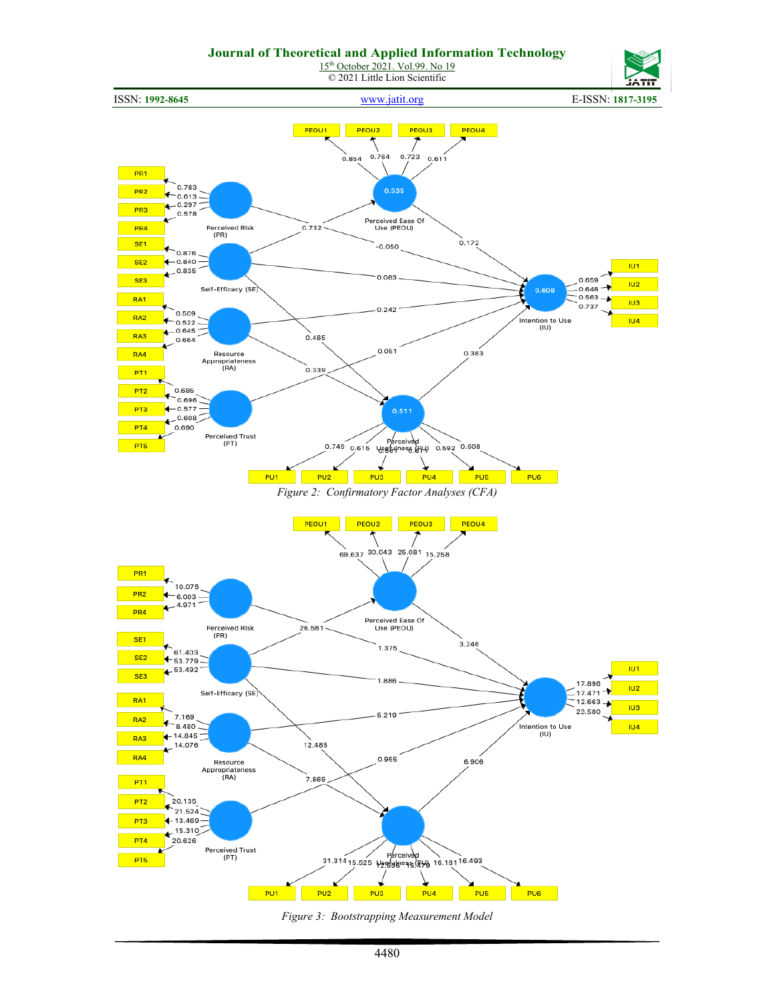

*Figure 3: Bootstrapping Measurement Model*